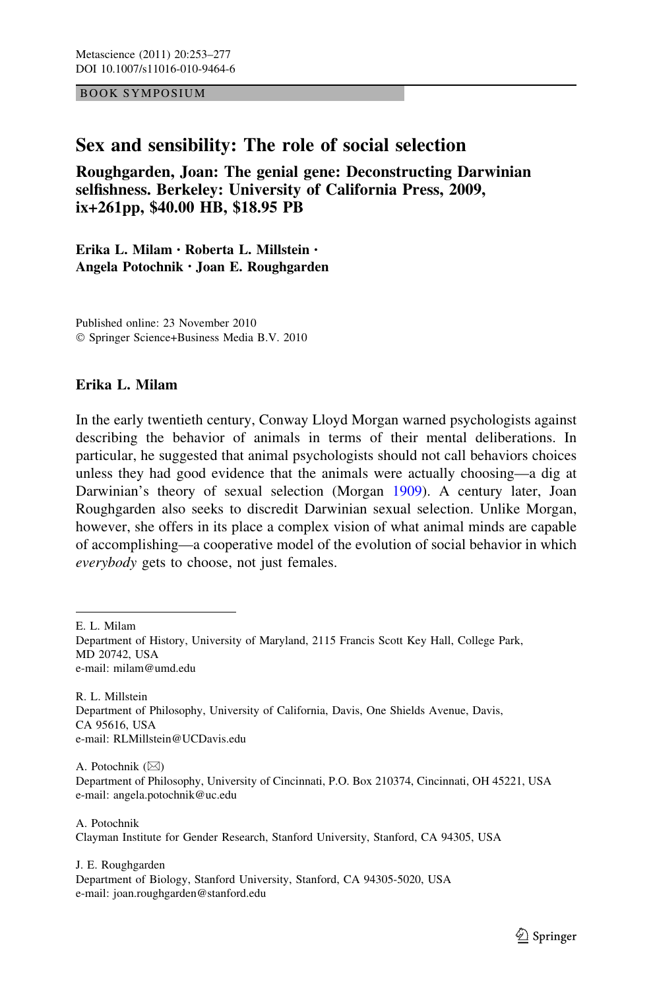BOOK SYMPOSIUM

# Sex and sensibility: The role of social selection

Roughgarden, Joan: The genial gene: Deconstructing Darwinian selfishness. Berkeley: University of California Press, 2009, ix+261pp, \$40.00 HB, \$18.95 PB

Erika L. Milam • Roberta L. Millstein • Angela Potochnik • Joan E. Roughgarden

Published online: 23 November 2010 ! Springer Science+Business Media B.V. 2010

# Erika L. Milam

In the early twentieth century, Conway Lloyd Morgan warned psychologists against describing the behavior of animals in terms of their mental deliberations. In particular, he suggested that animal psychologists should not call behaviors choices unless they had good evidence that the animals were actually choosing—a dig at Darwinian's theory of sexual selection (Morgan [1909](#page-24-0)). A century later, Joan Roughgarden also seeks to discredit Darwinian sexual selection. Unlike Morgan, however, she offers in its place a complex vision of what animal minds are capable of accomplishing—a cooperative model of the evolution of social behavior in which everybody gets to choose, not just females.

E. L. Milam

R. L. Millstein Department of Philosophy, University of California, Davis, One Shields Avenue, Davis, CA 95616, USA e-mail: RLMillstein@UCDavis.edu

A. Potochnik  $(\boxtimes)$ Department of Philosophy, University of Cincinnati, P.O. Box 210374, Cincinnati, OH 45221, USA e-mail: angela.potochnik@uc.edu

A. Potochnik Clayman Institute for Gender Research, Stanford University, Stanford, CA 94305, USA

J. E. Roughgarden Department of Biology, Stanford University, Stanford, CA 94305-5020, USA e-mail: joan.roughgarden@stanford.edu

Department of History, University of Maryland, 2115 Francis Scott Key Hall, College Park, MD 20742, USA e-mail: milam@umd.edu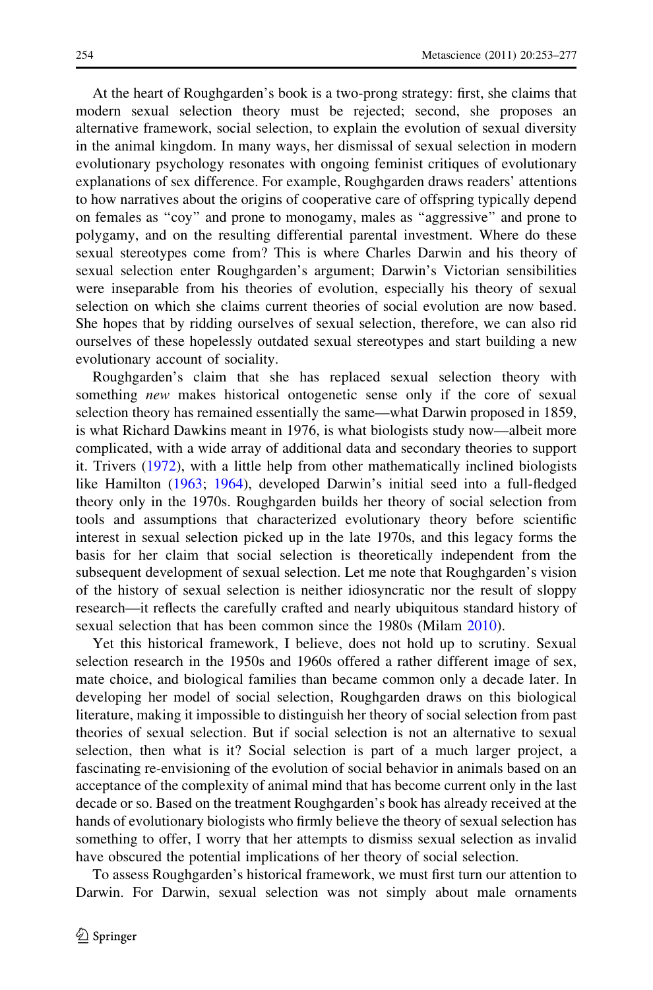At the heart of Roughgarden's book is a two-prong strategy: first, she claims that modern sexual selection theory must be rejected; second, she proposes an alternative framework, social selection, to explain the evolution of sexual diversity in the animal kingdom. In many ways, her dismissal of sexual selection in modern evolutionary psychology resonates with ongoing feminist critiques of evolutionary explanations of sex difference. For example, Roughgarden draws readers' attentions to how narratives about the origins of cooperative care of offspring typically depend on females as ''coy'' and prone to monogamy, males as ''aggressive'' and prone to polygamy, and on the resulting differential parental investment. Where do these sexual stereotypes come from? This is where Charles Darwin and his theory of sexual selection enter Roughgarden's argument; Darwin's Victorian sensibilities were inseparable from his theories of evolution, especially his theory of sexual selection on which she claims current theories of social evolution are now based. She hopes that by ridding ourselves of sexual selection, therefore, we can also rid ourselves of these hopelessly outdated sexual stereotypes and start building a new evolutionary account of sociality.

Roughgarden's claim that she has replaced sexual selection theory with something new makes historical ontogenetic sense only if the core of sexual selection theory has remained essentially the same—what Darwin proposed in 1859, is what Richard Dawkins meant in 1976, is what biologists study now—albeit more complicated, with a wide array of additional data and secondary theories to support it. Trivers ([1972\)](#page-24-0), with a little help from other mathematically inclined biologists like Hamilton ([1963](#page-23-0); [1964\)](#page-23-0), developed Darwin's initial seed into a full-fledged theory only in the 1970s. Roughgarden builds her theory of social selection from tools and assumptions that characterized evolutionary theory before scientific interest in sexual selection picked up in the late 1970s, and this legacy forms the basis for her claim that social selection is theoretically independent from the subsequent development of sexual selection. Let me note that Roughgarden's vision of the history of sexual selection is neither idiosyncratic nor the result of sloppy research—it reflects the carefully crafted and nearly ubiquitous standard history of sexual selection that has been common since the 1980s (Milam [2010](#page-24-0)).

Yet this historical framework, I believe, does not hold up to scrutiny. Sexual selection research in the 1950s and 1960s offered a rather different image of sex, mate choice, and biological families than became common only a decade later. In developing her model of social selection, Roughgarden draws on this biological literature, making it impossible to distinguish her theory of social selection from past theories of sexual selection. But if social selection is not an alternative to sexual selection, then what is it? Social selection is part of a much larger project, a fascinating re-envisioning of the evolution of social behavior in animals based on an acceptance of the complexity of animal mind that has become current only in the last decade or so. Based on the treatment Roughgarden's book has already received at the hands of evolutionary biologists who firmly believe the theory of sexual selection has something to offer, I worry that her attempts to dismiss sexual selection as invalid have obscured the potential implications of her theory of social selection.

To assess Roughgarden's historical framework, we must first turn our attention to Darwin. For Darwin, sexual selection was not simply about male ornaments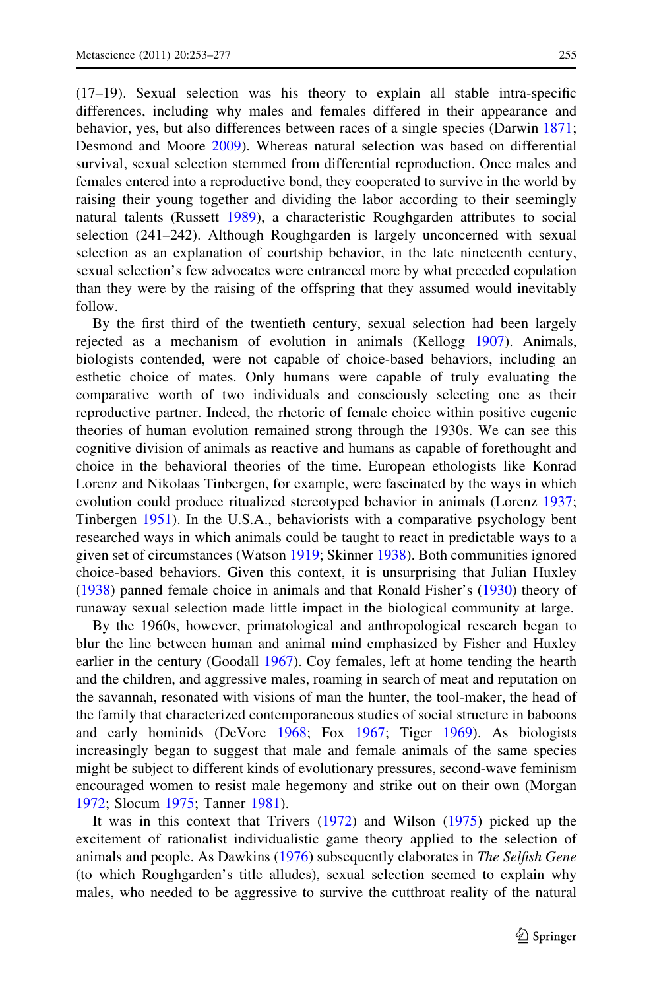(17–19). Sexual selection was his theory to explain all stable intra-specific differences, including why males and females differed in their appearance and behavior, yes, but also differences between races of a single species (Darwin [1871;](#page-23-0) Desmond and Moore [2009\)](#page-23-0). Whereas natural selection was based on differential survival, sexual selection stemmed from differential reproduction. Once males and females entered into a reproductive bond, they cooperated to survive in the world by raising their young together and dividing the labor according to their seemingly natural talents (Russett [1989\)](#page-24-0), a characteristic Roughgarden attributes to social selection (241–242). Although Roughgarden is largely unconcerned with sexual selection as an explanation of courtship behavior, in the late nineteenth century, sexual selection's few advocates were entranced more by what preceded copulation than they were by the raising of the offspring that they assumed would inevitably follow.

By the first third of the twentieth century, sexual selection had been largely rejected as a mechanism of evolution in animals (Kellogg [1907\)](#page-23-0). Animals, biologists contended, were not capable of choice-based behaviors, including an esthetic choice of mates. Only humans were capable of truly evaluating the comparative worth of two individuals and consciously selecting one as their reproductive partner. Indeed, the rhetoric of female choice within positive eugenic theories of human evolution remained strong through the 1930s. We can see this cognitive division of animals as reactive and humans as capable of forethought and choice in the behavioral theories of the time. European ethologists like Konrad Lorenz and Nikolaas Tinbergen, for example, were fascinated by the ways in which evolution could produce ritualized stereotyped behavior in animals (Lorenz [1937;](#page-24-0) Tinbergen [1951\)](#page-24-0). In the U.S.A., behaviorists with a comparative psychology bent researched ways in which animals could be taught to react in predictable ways to a given set of circumstances (Watson [1919](#page-24-0); Skinner [1938\)](#page-24-0). Both communities ignored choice-based behaviors. Given this context, it is unsurprising that Julian Huxley [\(1938](#page-23-0)) panned female choice in animals and that Ronald Fisher's ([1930\)](#page-23-0) theory of runaway sexual selection made little impact in the biological community at large.

By the 1960s, however, primatological and anthropological research began to blur the line between human and animal mind emphasized by Fisher and Huxley earlier in the century (Goodall [1967\)](#page-23-0). Coy females, left at home tending the hearth and the children, and aggressive males, roaming in search of meat and reputation on the savannah, resonated with visions of man the hunter, the tool-maker, the head of the family that characterized contemporaneous studies of social structure in baboons and early hominids (DeVore [1968;](#page-23-0) Fox [1967](#page-23-0); Tiger [1969](#page-24-0)). As biologists increasingly began to suggest that male and female animals of the same species might be subject to different kinds of evolutionary pressures, second-wave feminism encouraged women to resist male hegemony and strike out on their own (Morgan [1972;](#page-24-0) Slocum [1975;](#page-24-0) Tanner [1981\)](#page-24-0).

It was in this context that Trivers ([1972\)](#page-24-0) and Wilson ([1975\)](#page-24-0) picked up the excitement of rationalist individualistic game theory applied to the selection of animals and people. As Dawkins ([1976\)](#page-23-0) subsequently elaborates in The Selfish Gene (to which Roughgarden's title alludes), sexual selection seemed to explain why males, who needed to be aggressive to survive the cutthroat reality of the natural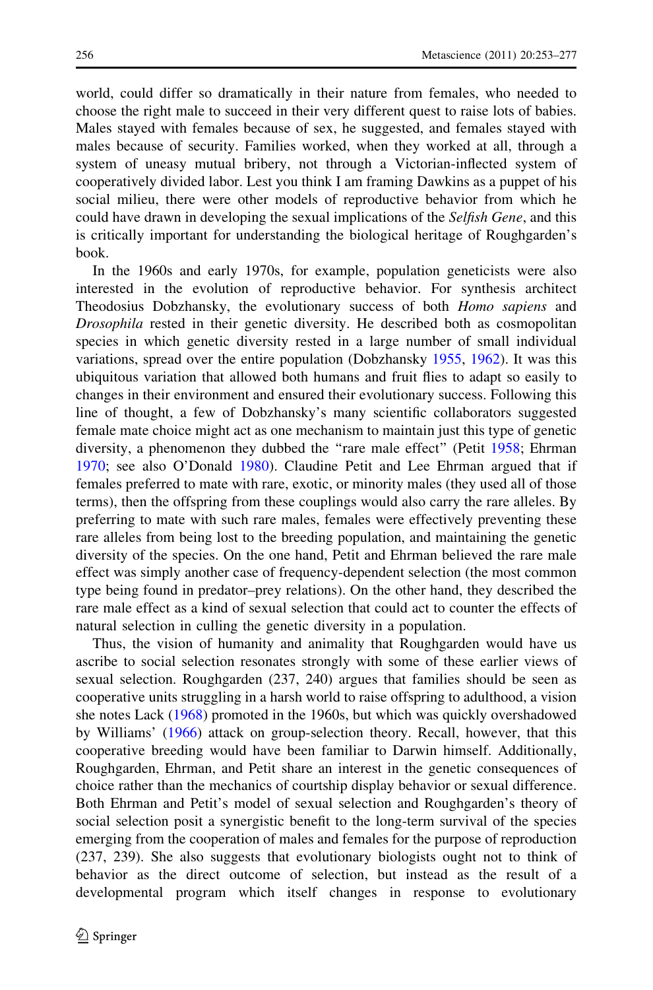world, could differ so dramatically in their nature from females, who needed to choose the right male to succeed in their very different quest to raise lots of babies. Males stayed with females because of sex, he suggested, and females stayed with males because of security. Families worked, when they worked at all, through a system of uneasy mutual bribery, not through a Victorian-inflected system of cooperatively divided labor. Lest you think I am framing Dawkins as a puppet of his social milieu, there were other models of reproductive behavior from which he could have drawn in developing the sexual implications of the *Selfish Gene*, and this is critically important for understanding the biological heritage of Roughgarden's book.

In the 1960s and early 1970s, for example, population geneticists were also interested in the evolution of reproductive behavior. For synthesis architect Theodosius Dobzhansky, the evolutionary success of both Homo sapiens and Drosophila rested in their genetic diversity. He described both as cosmopolitan species in which genetic diversity rested in a large number of small individual variations, spread over the entire population (Dobzhansky [1955,](#page-23-0) [1962\)](#page-23-0). It was this ubiquitous variation that allowed both humans and fruit flies to adapt so easily to changes in their environment and ensured their evolutionary success. Following this line of thought, a few of Dobzhansky's many scientific collaborators suggested female mate choice might act as one mechanism to maintain just this type of genetic diversity, a phenomenon they dubbed the ''rare male effect'' (Petit [1958](#page-24-0); Ehrman [1970;](#page-23-0) see also O'Donald [1980](#page-24-0)). Claudine Petit and Lee Ehrman argued that if females preferred to mate with rare, exotic, or minority males (they used all of those terms), then the offspring from these couplings would also carry the rare alleles. By preferring to mate with such rare males, females were effectively preventing these rare alleles from being lost to the breeding population, and maintaining the genetic diversity of the species. On the one hand, Petit and Ehrman believed the rare male effect was simply another case of frequency-dependent selection (the most common type being found in predator–prey relations). On the other hand, they described the rare male effect as a kind of sexual selection that could act to counter the effects of natural selection in culling the genetic diversity in a population.

Thus, the vision of humanity and animality that Roughgarden would have us ascribe to social selection resonates strongly with some of these earlier views of sexual selection. Roughgarden (237, 240) argues that families should be seen as cooperative units struggling in a harsh world to raise offspring to adulthood, a vision she notes Lack ([1968\)](#page-24-0) promoted in the 1960s, but which was quickly overshadowed by Williams' ([1966\)](#page-24-0) attack on group-selection theory. Recall, however, that this cooperative breeding would have been familiar to Darwin himself. Additionally, Roughgarden, Ehrman, and Petit share an interest in the genetic consequences of choice rather than the mechanics of courtship display behavior or sexual difference. Both Ehrman and Petit's model of sexual selection and Roughgarden's theory of social selection posit a synergistic benefit to the long-term survival of the species emerging from the cooperation of males and females for the purpose of reproduction (237, 239). She also suggests that evolutionary biologists ought not to think of behavior as the direct outcome of selection, but instead as the result of a developmental program which itself changes in response to evolutionary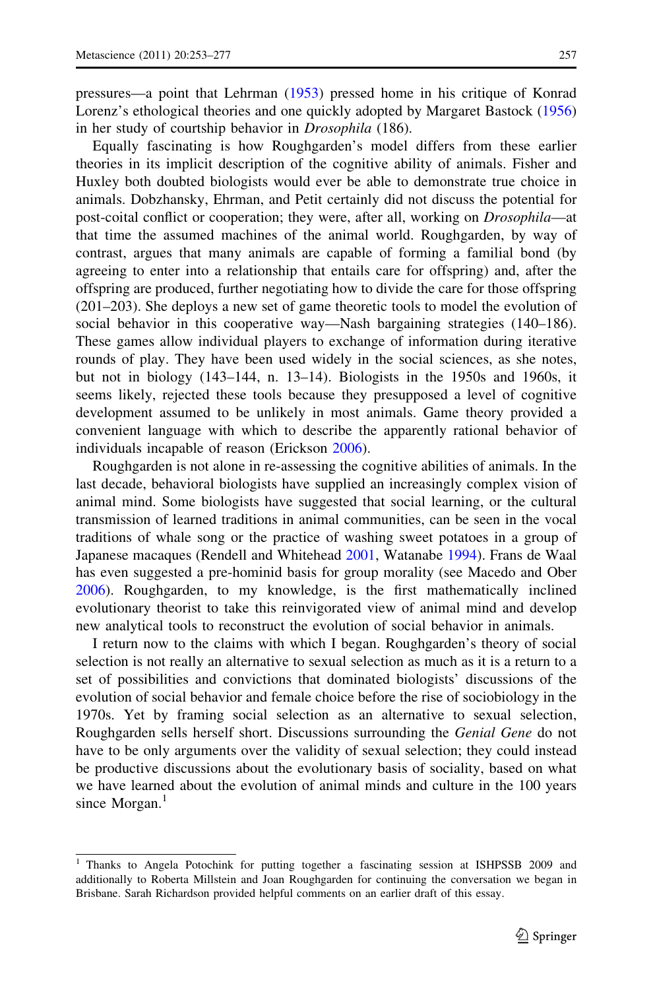pressures—a point that Lehrman ([1953\)](#page-24-0) pressed home in his critique of Konrad Lorenz's ethological theories and one quickly adopted by Margaret Bastock [\(1956](#page-23-0)) in her study of courtship behavior in Drosophila (186).

Equally fascinating is how Roughgarden's model differs from these earlier theories in its implicit description of the cognitive ability of animals. Fisher and Huxley both doubted biologists would ever be able to demonstrate true choice in animals. Dobzhansky, Ehrman, and Petit certainly did not discuss the potential for post-coital conflict or cooperation; they were, after all, working on Drosophila—at that time the assumed machines of the animal world. Roughgarden, by way of contrast, argues that many animals are capable of forming a familial bond (by agreeing to enter into a relationship that entails care for offspring) and, after the offspring are produced, further negotiating how to divide the care for those offspring (201–203). She deploys a new set of game theoretic tools to model the evolution of social behavior in this cooperative way—Nash bargaining strategies (140–186). These games allow individual players to exchange of information during iterative rounds of play. They have been used widely in the social sciences, as she notes, but not in biology (143–144, n. 13–14). Biologists in the 1950s and 1960s, it seems likely, rejected these tools because they presupposed a level of cognitive development assumed to be unlikely in most animals. Game theory provided a convenient language with which to describe the apparently rational behavior of individuals incapable of reason (Erickson [2006\)](#page-23-0).

Roughgarden is not alone in re-assessing the cognitive abilities of animals. In the last decade, behavioral biologists have supplied an increasingly complex vision of animal mind. Some biologists have suggested that social learning, or the cultural transmission of learned traditions in animal communities, can be seen in the vocal traditions of whale song or the practice of washing sweet potatoes in a group of Japanese macaques (Rendell and Whitehead [2001,](#page-24-0) Watanabe [1994](#page-24-0)). Frans de Waal has even suggested a pre-hominid basis for group morality (see Macedo and Ober [2006\)](#page-24-0). Roughgarden, to my knowledge, is the first mathematically inclined evolutionary theorist to take this reinvigorated view of animal mind and develop new analytical tools to reconstruct the evolution of social behavior in animals.

I return now to the claims with which I began. Roughgarden's theory of social selection is not really an alternative to sexual selection as much as it is a return to a set of possibilities and convictions that dominated biologists' discussions of the evolution of social behavior and female choice before the rise of sociobiology in the 1970s. Yet by framing social selection as an alternative to sexual selection, Roughgarden sells herself short. Discussions surrounding the *Genial Gene* do not have to be only arguments over the validity of sexual selection; they could instead be productive discussions about the evolutionary basis of sociality, based on what we have learned about the evolution of animal minds and culture in the 100 years since Morgan.<sup>1</sup>

<sup>1</sup> Thanks to Angela Potochink for putting together a fascinating session at ISHPSSB 2009 and additionally to Roberta Millstein and Joan Roughgarden for continuing the conversation we began in Brisbane. Sarah Richardson provided helpful comments on an earlier draft of this essay.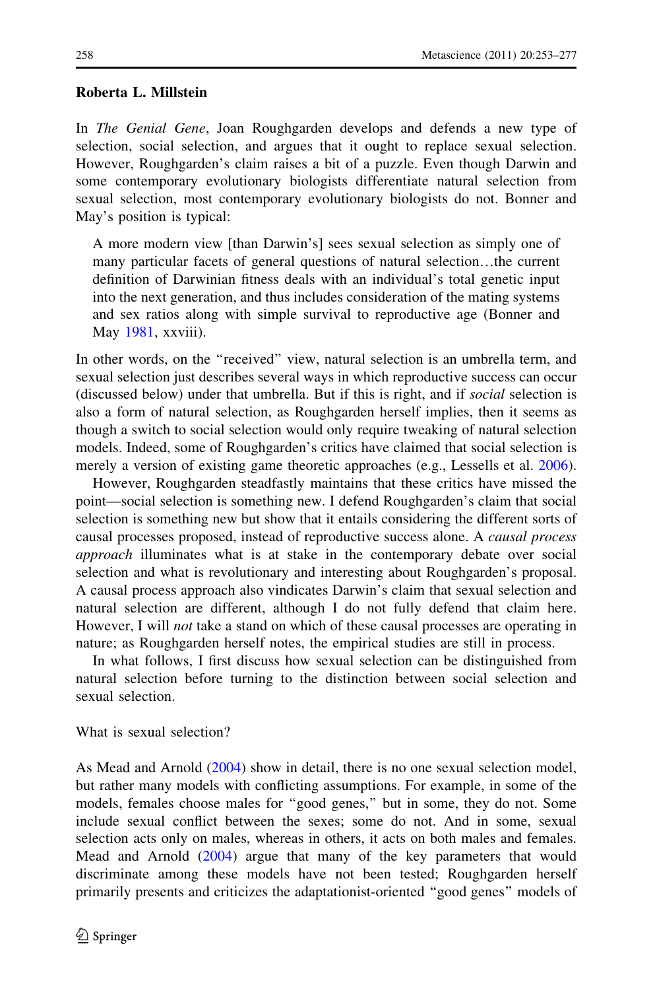# Roberta L. Millstein

In The Genial Gene, Joan Roughgarden develops and defends a new type of selection, social selection, and argues that it ought to replace sexual selection. However, Roughgarden's claim raises a bit of a puzzle. Even though Darwin and some contemporary evolutionary biologists differentiate natural selection from sexual selection, most contemporary evolutionary biologists do not. Bonner and May's position is typical:

A more modern view [than Darwin's] sees sexual selection as simply one of many particular facets of general questions of natural selection…the current definition of Darwinian fitness deals with an individual's total genetic input into the next generation, and thus includes consideration of the mating systems and sex ratios along with simple survival to reproductive age (Bonner and May [1981,](#page-23-0) xxviii).

In other words, on the ''received'' view, natural selection is an umbrella term, and sexual selection just describes several ways in which reproductive success can occur (discussed below) under that umbrella. But if this is right, and if social selection is also a form of natural selection, as Roughgarden herself implies, then it seems as though a switch to social selection would only require tweaking of natural selection models. Indeed, some of Roughgarden's critics have claimed that social selection is merely a version of existing game theoretic approaches (e.g., Lessells et al. [2006\)](#page-24-0).

However, Roughgarden steadfastly maintains that these critics have missed the point—social selection is something new. I defend Roughgarden's claim that social selection is something new but show that it entails considering the different sorts of causal processes proposed, instead of reproductive success alone. A causal process approach illuminates what is at stake in the contemporary debate over social selection and what is revolutionary and interesting about Roughgarden's proposal. A causal process approach also vindicates Darwin's claim that sexual selection and natural selection are different, although I do not fully defend that claim here. However, I will *not* take a stand on which of these causal processes are operating in nature; as Roughgarden herself notes, the empirical studies are still in process.

In what follows, I first discuss how sexual selection can be distinguished from natural selection before turning to the distinction between social selection and sexual selection.

What is sexual selection?

As Mead and Arnold [\(2004](#page-24-0)) show in detail, there is no one sexual selection model, but rather many models with conflicting assumptions. For example, in some of the models, females choose males for ''good genes,'' but in some, they do not. Some include sexual conflict between the sexes; some do not. And in some, sexual selection acts only on males, whereas in others, it acts on both males and females. Mead and Arnold ([2004](#page-24-0)) argue that many of the key parameters that would discriminate among these models have not been tested; Roughgarden herself primarily presents and criticizes the adaptationist-oriented ''good genes'' models of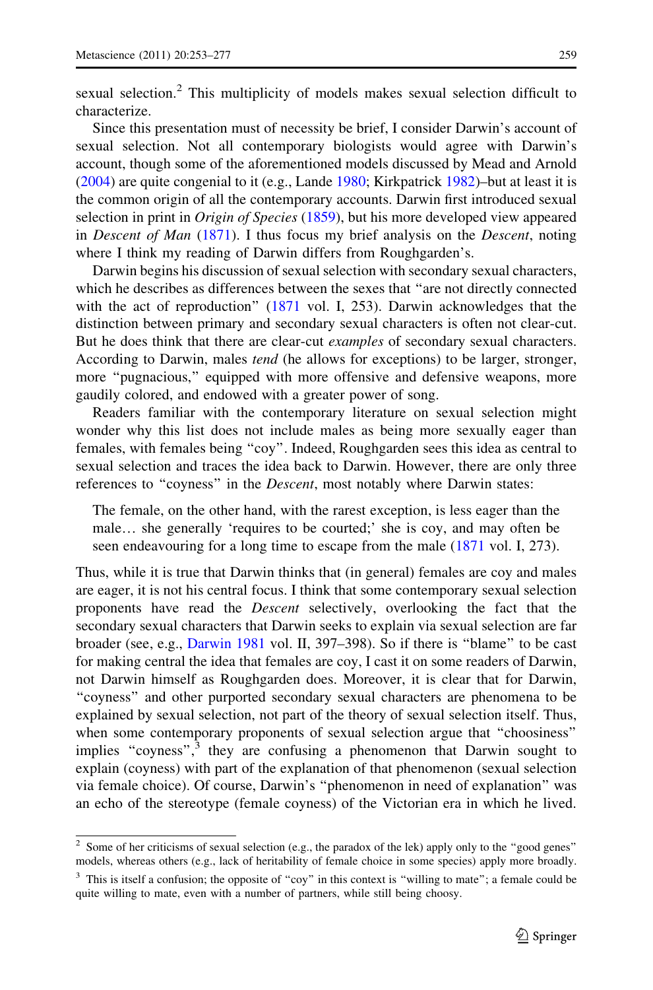sexual selection.<sup>2</sup> This multiplicity of models makes sexual selection difficult to characterize.

Since this presentation must of necessity be brief, I consider Darwin's account of sexual selection. Not all contemporary biologists would agree with Darwin's account, though some of the aforementioned models discussed by Mead and Arnold [\(2004](#page-24-0)) are quite congenial to it (e.g., Lande [1980](#page-24-0); Kirkpatrick [1982\)](#page-23-0)–but at least it is the common origin of all the contemporary accounts. Darwin first introduced sexual selection in print in Origin of Species [\(1859](#page-23-0)), but his more developed view appeared in Descent of Man ([1871\)](#page-23-0). I thus focus my brief analysis on the Descent, noting where I think my reading of Darwin differs from Roughgarden's.

Darwin begins his discussion of sexual selection with secondary sexual characters, which he describes as differences between the sexes that ''are not directly connected with the act of reproduction" ([1871](#page-23-0) vol. I, 253). Darwin acknowledges that the distinction between primary and secondary sexual characters is often not clear-cut. But he does think that there are clear-cut *examples* of secondary sexual characters. According to Darwin, males tend (he allows for exceptions) to be larger, stronger, more "pugnacious," equipped with more offensive and defensive weapons, more gaudily colored, and endowed with a greater power of song.

Readers familiar with the contemporary literature on sexual selection might wonder why this list does not include males as being more sexually eager than females, with females being ''coy''. Indeed, Roughgarden sees this idea as central to sexual selection and traces the idea back to Darwin. However, there are only three references to "coyness" in the *Descent*, most notably where Darwin states:

The female, on the other hand, with the rarest exception, is less eager than the male... she generally 'requires to be courted;' she is coy, and may often be seen endeavouring for a long time to escape from the male ([1871](#page-23-0) vol. I, 273).

Thus, while it is true that Darwin thinks that (in general) females are coy and males are eager, it is not his central focus. I think that some contemporary sexual selection proponents have read the Descent selectively, overlooking the fact that the secondary sexual characters that Darwin seeks to explain via sexual selection are far broader (see, e.g., [Darwin 1981](#page-23-0) vol. II, 397–398). So if there is ''blame'' to be cast for making central the idea that females are coy, I cast it on some readers of Darwin, not Darwin himself as Roughgarden does. Moreover, it is clear that for Darwin, ''coyness'' and other purported secondary sexual characters are phenomena to be explained by sexual selection, not part of the theory of sexual selection itself. Thus, when some contemporary proponents of sexual selection argue that ''choosiness'' implies "coyness",<sup>3</sup> they are confusing a phenomenon that Darwin sought to explain (coyness) with part of the explanation of that phenomenon (sexual selection via female choice). Of course, Darwin's ''phenomenon in need of explanation'' was an echo of the stereotype (female coyness) of the Victorian era in which he lived.

<sup>&</sup>lt;sup>2</sup> Some of her criticisms of sexual selection (e.g., the paradox of the lek) apply only to the "good genes" models, whereas others (e.g., lack of heritability of female choice in some species) apply more broadly.

<sup>&</sup>lt;sup>3</sup> This is itself a confusion; the opposite of "coy" in this context is "willing to mate"; a female could be quite willing to mate, even with a number of partners, while still being choosy.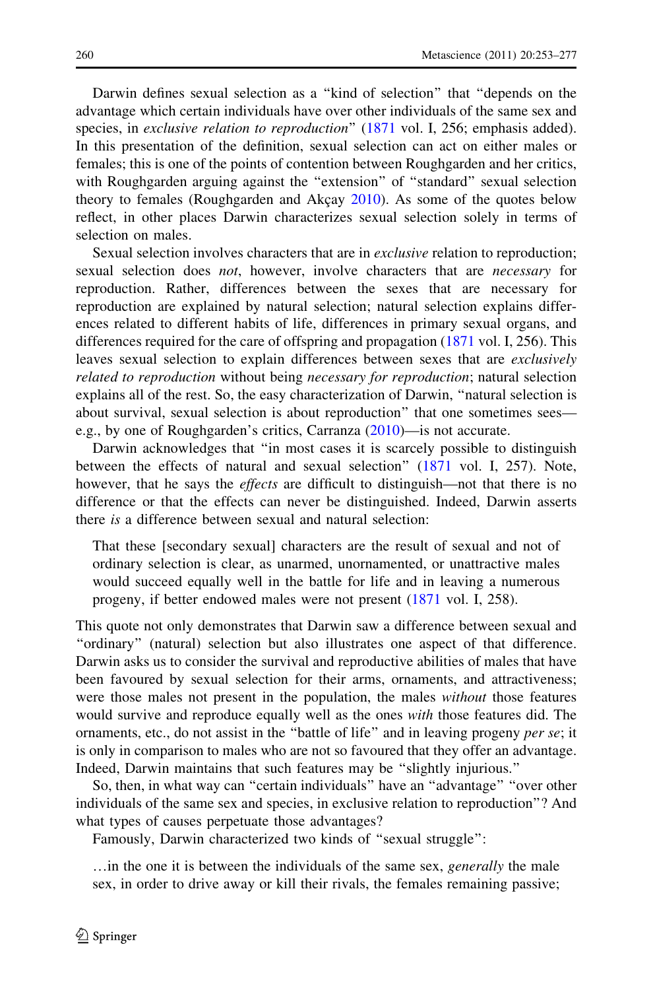Darwin defines sexual selection as a ''kind of selection'' that ''depends on the advantage which certain individuals have over other individuals of the same sex and species, in *exclusive relation to reproduction*" ([1871](#page-23-0) vol. I, 256; emphasis added). In this presentation of the definition, sexual selection can act on either males or females; this is one of the points of contention between Roughgarden and her critics, with Roughgarden arguing against the "extension" of "standard" sexual selection theory to females (Roughgarden and Akçay [2010](#page-24-0)). As some of the quotes below reflect, in other places Darwin characterizes sexual selection solely in terms of selection on males

Sexual selection involves characters that are in exclusive relation to reproduction; sexual selection does *not*, however, involve characters that are *necessary* for reproduction. Rather, differences between the sexes that are necessary for reproduction are explained by natural selection; natural selection explains differences related to different habits of life, differences in primary sexual organs, and differences required for the care of offspring and propagation ([1871](#page-23-0) vol. I, 256). This leaves sexual selection to explain differences between sexes that are exclusively related to reproduction without being necessary for reproduction; natural selection explains all of the rest. So, the easy characterization of Darwin, ''natural selection is about survival, sexual selection is about reproduction'' that one sometimes sees e.g., by one of Roughgarden's critics, Carranza [\(2010](#page-23-0))—is not accurate.

Darwin acknowledges that ''in most cases it is scarcely possible to distinguish between the effects of natural and sexual selection'' [\(1871](#page-23-0) vol. I, 257). Note, however, that he says the *effects* are difficult to distinguish—not that there is no difference or that the effects can never be distinguished. Indeed, Darwin asserts there is a difference between sexual and natural selection:

That these [secondary sexual] characters are the result of sexual and not of ordinary selection is clear, as unarmed, unornamented, or unattractive males would succeed equally well in the battle for life and in leaving a numerous progeny, if better endowed males were not present [\(1871](#page-23-0) vol. I, 258).

This quote not only demonstrates that Darwin saw a difference between sexual and ''ordinary'' (natural) selection but also illustrates one aspect of that difference. Darwin asks us to consider the survival and reproductive abilities of males that have been favoured by sexual selection for their arms, ornaments, and attractiveness; were those males not present in the population, the males *without* those features would survive and reproduce equally well as the ones with those features did. The ornaments, etc., do not assist in the "battle of life" and in leaving progeny *per se*; it is only in comparison to males who are not so favoured that they offer an advantage. Indeed, Darwin maintains that such features may be ''slightly injurious.''

So, then, in what way can ''certain individuals'' have an ''advantage'' ''over other individuals of the same sex and species, in exclusive relation to reproduction''? And what types of causes perpetuate those advantages?

Famously, Darwin characterized two kinds of "sexual struggle":

... in the one it is between the individuals of the same sex, *generally* the male sex, in order to drive away or kill their rivals, the females remaining passive;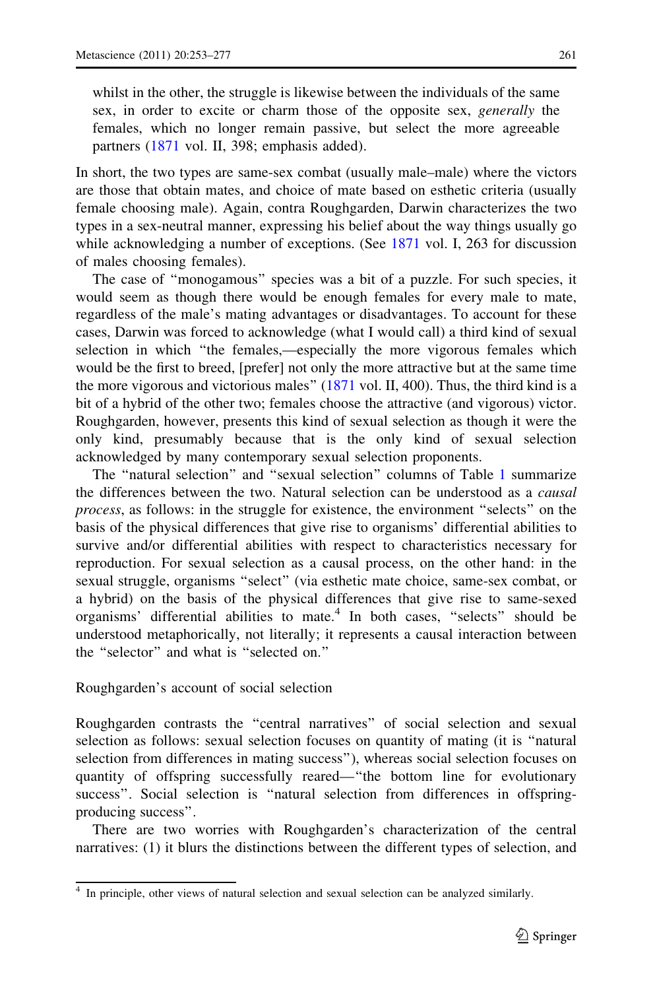whilst in the other, the struggle is likewise between the individuals of the same sex, in order to excite or charm those of the opposite sex, generally the females, which no longer remain passive, but select the more agreeable partners [\(1871](#page-23-0) vol. II, 398; emphasis added).

In short, the two types are same-sex combat (usually male–male) where the victors are those that obtain mates, and choice of mate based on esthetic criteria (usually female choosing male). Again, contra Roughgarden, Darwin characterizes the two types in a sex-neutral manner, expressing his belief about the way things usually go while acknowledging a number of exceptions. (See [1871](#page-23-0) vol. I, 263 for discussion of males choosing females).

The case of ''monogamous'' species was a bit of a puzzle. For such species, it would seem as though there would be enough females for every male to mate, regardless of the male's mating advantages or disadvantages. To account for these cases, Darwin was forced to acknowledge (what I would call) a third kind of sexual selection in which ''the females,—especially the more vigorous females which would be the first to breed, [prefer] not only the more attractive but at the same time the more vigorous and victorious males'' ([1871](#page-23-0) vol. II, 400). Thus, the third kind is a bit of a hybrid of the other two; females choose the attractive (and vigorous) victor. Roughgarden, however, presents this kind of sexual selection as though it were the only kind, presumably because that is the only kind of sexual selection acknowledged by many contemporary sexual selection proponents.

The ''natural selection'' and ''sexual selection'' columns of Table [1](#page-9-0) summarize the differences between the two. Natural selection can be understood as a *causal* process, as follows: in the struggle for existence, the environment ''selects'' on the basis of the physical differences that give rise to organisms' differential abilities to survive and/or differential abilities with respect to characteristics necessary for reproduction. For sexual selection as a causal process, on the other hand: in the sexual struggle, organisms ''select'' (via esthetic mate choice, same-sex combat, or a hybrid) on the basis of the physical differences that give rise to same-sexed organisms' differential abilities to mate. $4$  In both cases, "selects" should be understood metaphorically, not literally; it represents a causal interaction between the ''selector'' and what is ''selected on.''

Roughgarden's account of social selection

Roughgarden contrasts the ''central narratives'' of social selection and sexual selection as follows: sexual selection focuses on quantity of mating (it is ''natural selection from differences in mating success''), whereas social selection focuses on quantity of offspring successfully reared—''the bottom line for evolutionary success''. Social selection is ''natural selection from differences in offspringproducing success''.

There are two worries with Roughgarden's characterization of the central narratives: (1) it blurs the distinctions between the different types of selection, and

<sup>&</sup>lt;sup>4</sup> In principle, other views of natural selection and sexual selection can be analyzed similarly.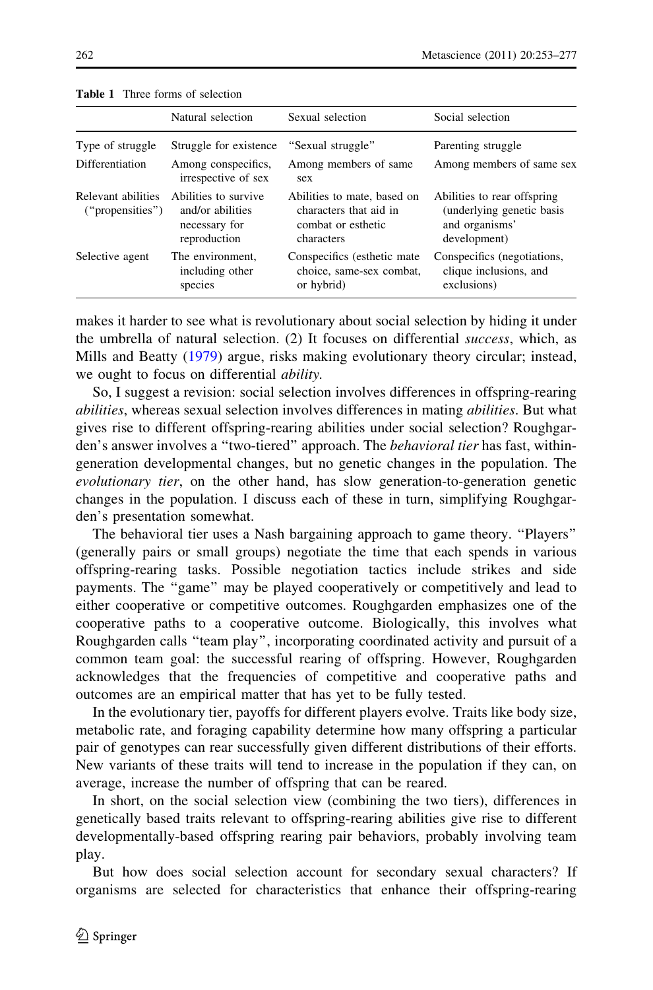|                                        | Natural selection                                                         | Sexual selection                                                                          | Social selection                                                                           |
|----------------------------------------|---------------------------------------------------------------------------|-------------------------------------------------------------------------------------------|--------------------------------------------------------------------------------------------|
| Type of struggle                       | Struggle for existence                                                    | "Sexual struggle"                                                                         | Parenting struggle                                                                         |
| Differentiation                        | Among conspecifics,<br>irrespective of sex                                | Among members of same<br>sex                                                              | Among members of same sex                                                                  |
| Relevant abilities<br>("propensities") | Abilities to survive<br>and/or abilities<br>necessary for<br>reproduction | Abilities to mate, based on<br>characters that aid in<br>combat or esthetic<br>characters | Abilities to rear offspring<br>(underlying genetic basis<br>and organisms'<br>development) |
| Selective agent                        | The environment,<br>including other<br>species                            | Conspecifics (esthetic mate<br>choice, same-sex combat,<br>or hybrid)                     | Conspecifics (negotiations,<br>clique inclusions, and<br>exclusions)                       |

Table 1 Three forms of selection

makes it harder to see what is revolutionary about social selection by hiding it under the umbrella of natural selection. (2) It focuses on differential success, which, as Mills and Beatty ([1979](#page-24-0)) argue, risks making evolutionary theory circular; instead, we ought to focus on differential *ability*.

So, I suggest a revision: social selection involves differences in offspring-rearing abilities, whereas sexual selection involves differences in mating abilities. But what gives rise to different offspring-rearing abilities under social selection? Roughgarden's answer involves a "two-tiered" approach. The *behavioral tier* has fast, withingeneration developmental changes, but no genetic changes in the population. The evolutionary tier, on the other hand, has slow generation-to-generation genetic changes in the population. I discuss each of these in turn, simplifying Roughgarden's presentation somewhat.

The behavioral tier uses a Nash bargaining approach to game theory. ''Players'' (generally pairs or small groups) negotiate the time that each spends in various offspring-rearing tasks. Possible negotiation tactics include strikes and side payments. The ''game'' may be played cooperatively or competitively and lead to either cooperative or competitive outcomes. Roughgarden emphasizes one of the cooperative paths to a cooperative outcome. Biologically, this involves what Roughgarden calls ''team play'', incorporating coordinated activity and pursuit of a common team goal: the successful rearing of offspring. However, Roughgarden acknowledges that the frequencies of competitive and cooperative paths and outcomes are an empirical matter that has yet to be fully tested.

In the evolutionary tier, payoffs for different players evolve. Traits like body size, metabolic rate, and foraging capability determine how many offspring a particular pair of genotypes can rear successfully given different distributions of their efforts. New variants of these traits will tend to increase in the population if they can, on average, increase the number of offspring that can be reared.

In short, on the social selection view (combining the two tiers), differences in genetically based traits relevant to offspring-rearing abilities give rise to different developmentally-based offspring rearing pair behaviors, probably involving team play.

<span id="page-9-0"></span>But how does social selection account for secondary sexual characters? If organisms are selected for characteristics that enhance their offspring-rearing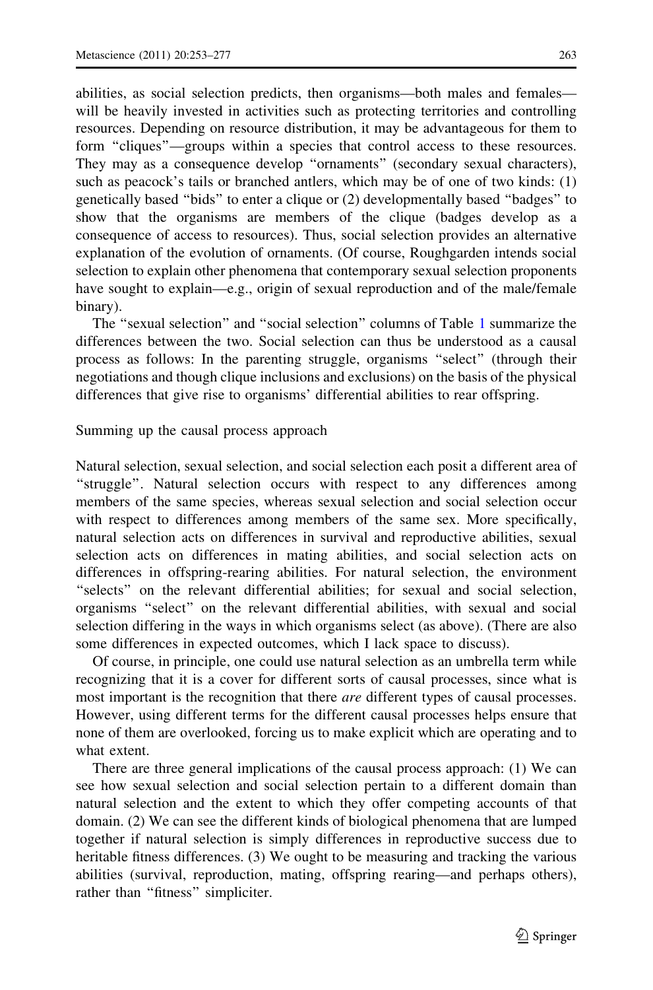abilities, as social selection predicts, then organisms—both males and females will be heavily invested in activities such as protecting territories and controlling resources. Depending on resource distribution, it may be advantageous for them to form "cliques"—groups within a species that control access to these resources. They may as a consequence develop ''ornaments'' (secondary sexual characters), such as peacock's tails or branched antlers, which may be of one of two kinds: (1) genetically based ''bids'' to enter a clique or (2) developmentally based ''badges'' to show that the organisms are members of the clique (badges develop as a consequence of access to resources). Thus, social selection provides an alternative explanation of the evolution of ornaments. (Of course, Roughgarden intends social selection to explain other phenomena that contemporary sexual selection proponents have sought to explain—e.g., origin of sexual reproduction and of the male/female binary).

The ''sexual selection'' and ''social selection'' columns of Table [1](#page-9-0) summarize the differences between the two. Social selection can thus be understood as a causal process as follows: In the parenting struggle, organisms ''select'' (through their negotiations and though clique inclusions and exclusions) on the basis of the physical differences that give rise to organisms' differential abilities to rear offspring.

Summing up the causal process approach

Natural selection, sexual selection, and social selection each posit a different area of ''struggle''. Natural selection occurs with respect to any differences among members of the same species, whereas sexual selection and social selection occur with respect to differences among members of the same sex. More specifically, natural selection acts on differences in survival and reproductive abilities, sexual selection acts on differences in mating abilities, and social selection acts on differences in offspring-rearing abilities. For natural selection, the environment "selects" on the relevant differential abilities; for sexual and social selection, organisms ''select'' on the relevant differential abilities, with sexual and social selection differing in the ways in which organisms select (as above). (There are also some differences in expected outcomes, which I lack space to discuss).

Of course, in principle, one could use natural selection as an umbrella term while recognizing that it is a cover for different sorts of causal processes, since what is most important is the recognition that there *are* different types of causal processes. However, using different terms for the different causal processes helps ensure that none of them are overlooked, forcing us to make explicit which are operating and to what extent.

There are three general implications of the causal process approach: (1) We can see how sexual selection and social selection pertain to a different domain than natural selection and the extent to which they offer competing accounts of that domain. (2) We can see the different kinds of biological phenomena that are lumped together if natural selection is simply differences in reproductive success due to heritable fitness differences. (3) We ought to be measuring and tracking the various abilities (survival, reproduction, mating, offspring rearing—and perhaps others), rather than "fitness" simpliciter.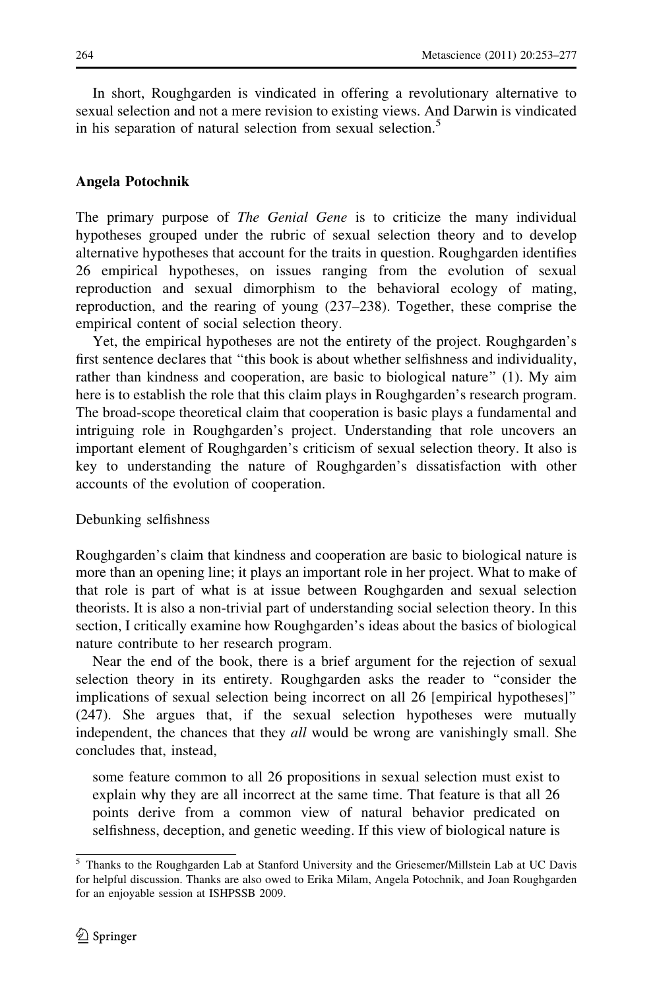In short, Roughgarden is vindicated in offering a revolutionary alternative to sexual selection and not a mere revision to existing views. And Darwin is vindicated in his separation of natural selection from sexual selection.<sup>5</sup>

# Angela Potochnik

The primary purpose of *The Genial Gene* is to criticize the many individual hypotheses grouped under the rubric of sexual selection theory and to develop alternative hypotheses that account for the traits in question. Roughgarden identifies 26 empirical hypotheses, on issues ranging from the evolution of sexual reproduction and sexual dimorphism to the behavioral ecology of mating, reproduction, and the rearing of young (237–238). Together, these comprise the empirical content of social selection theory.

Yet, the empirical hypotheses are not the entirety of the project. Roughgarden's first sentence declares that ''this book is about whether selfishness and individuality, rather than kindness and cooperation, are basic to biological nature'' (1). My aim here is to establish the role that this claim plays in Roughgarden's research program. The broad-scope theoretical claim that cooperation is basic plays a fundamental and intriguing role in Roughgarden's project. Understanding that role uncovers an important element of Roughgarden's criticism of sexual selection theory. It also is key to understanding the nature of Roughgarden's dissatisfaction with other accounts of the evolution of cooperation.

#### Debunking selfishness

Roughgarden's claim that kindness and cooperation are basic to biological nature is more than an opening line; it plays an important role in her project. What to make of that role is part of what is at issue between Roughgarden and sexual selection theorists. It is also a non-trivial part of understanding social selection theory. In this section, I critically examine how Roughgarden's ideas about the basics of biological nature contribute to her research program.

Near the end of the book, there is a brief argument for the rejection of sexual selection theory in its entirety. Roughgarden asks the reader to ''consider the implications of sexual selection being incorrect on all 26 [empirical hypotheses]'' (247). She argues that, if the sexual selection hypotheses were mutually independent, the chances that they *all* would be wrong are vanishingly small. She concludes that, instead,

some feature common to all 26 propositions in sexual selection must exist to explain why they are all incorrect at the same time. That feature is that all 26 points derive from a common view of natural behavior predicated on selfishness, deception, and genetic weeding. If this view of biological nature is

<sup>&</sup>lt;sup>5</sup> Thanks to the Roughgarden Lab at Stanford University and the Griesemer/Millstein Lab at UC Davis for helpful discussion. Thanks are also owed to Erika Milam, Angela Potochnik, and Joan Roughgarden for an enjoyable session at ISHPSSB 2009.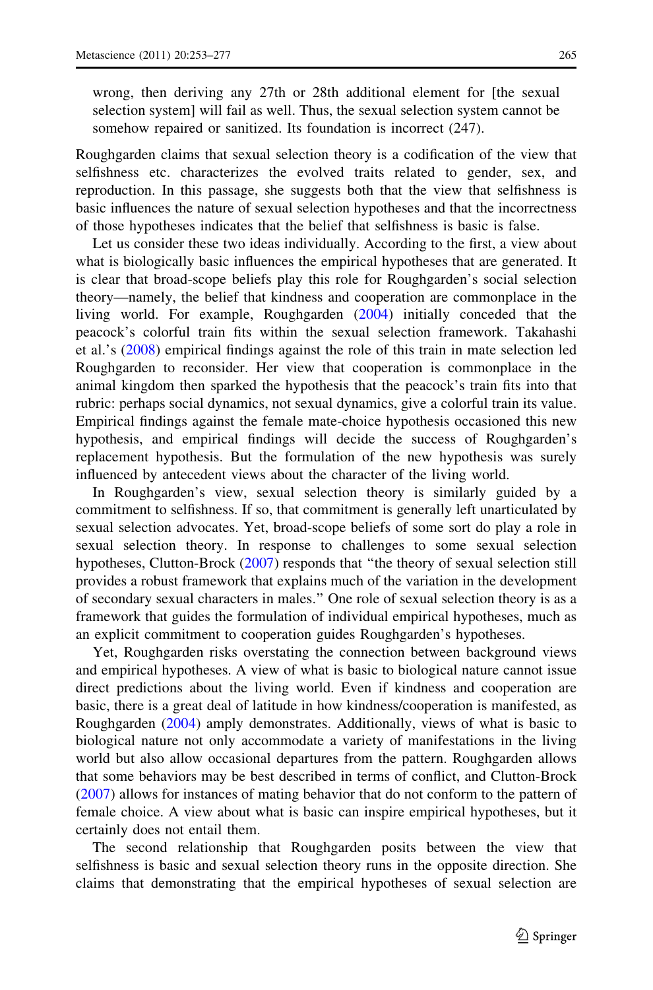wrong, then deriving any 27th or 28th additional element for [the sexual selection system] will fail as well. Thus, the sexual selection system cannot be somehow repaired or sanitized. Its foundation is incorrect (247).

Roughgarden claims that sexual selection theory is a codification of the view that selfishness etc. characterizes the evolved traits related to gender, sex, and reproduction. In this passage, she suggests both that the view that selfishness is basic influences the nature of sexual selection hypotheses and that the incorrectness of those hypotheses indicates that the belief that selfishness is basic is false.

Let us consider these two ideas individually. According to the first, a view about what is biologically basic influences the empirical hypotheses that are generated. It is clear that broad-scope beliefs play this role for Roughgarden's social selection theory—namely, the belief that kindness and cooperation are commonplace in the living world. For example, Roughgarden ([2004](#page-24-0)) initially conceded that the peacock's colorful train fits within the sexual selection framework. Takahashi et al.'s ([2008\)](#page-24-0) empirical findings against the role of this train in mate selection led Roughgarden to reconsider. Her view that cooperation is commonplace in the animal kingdom then sparked the hypothesis that the peacock's train fits into that rubric: perhaps social dynamics, not sexual dynamics, give a colorful train its value. Empirical findings against the female mate-choice hypothesis occasioned this new hypothesis, and empirical findings will decide the success of Roughgarden's replacement hypothesis. But the formulation of the new hypothesis was surely influenced by antecedent views about the character of the living world.

In Roughgarden's view, sexual selection theory is similarly guided by a commitment to selfishness. If so, that commitment is generally left unarticulated by sexual selection advocates. Yet, broad-scope beliefs of some sort do play a role in sexual selection theory. In response to challenges to some sexual selection hypotheses, Clutton-Brock ([2007\)](#page-23-0) responds that ''the theory of sexual selection still provides a robust framework that explains much of the variation in the development of secondary sexual characters in males.'' One role of sexual selection theory is as a framework that guides the formulation of individual empirical hypotheses, much as an explicit commitment to cooperation guides Roughgarden's hypotheses.

Yet, Roughgarden risks overstating the connection between background views and empirical hypotheses. A view of what is basic to biological nature cannot issue direct predictions about the living world. Even if kindness and cooperation are basic, there is a great deal of latitude in how kindness/cooperation is manifested, as Roughgarden ([2004\)](#page-24-0) amply demonstrates. Additionally, views of what is basic to biological nature not only accommodate a variety of manifestations in the living world but also allow occasional departures from the pattern. Roughgarden allows that some behaviors may be best described in terms of conflict, and Clutton-Brock [\(2007](#page-23-0)) allows for instances of mating behavior that do not conform to the pattern of female choice. A view about what is basic can inspire empirical hypotheses, but it certainly does not entail them.

The second relationship that Roughgarden posits between the view that selfishness is basic and sexual selection theory runs in the opposite direction. She claims that demonstrating that the empirical hypotheses of sexual selection are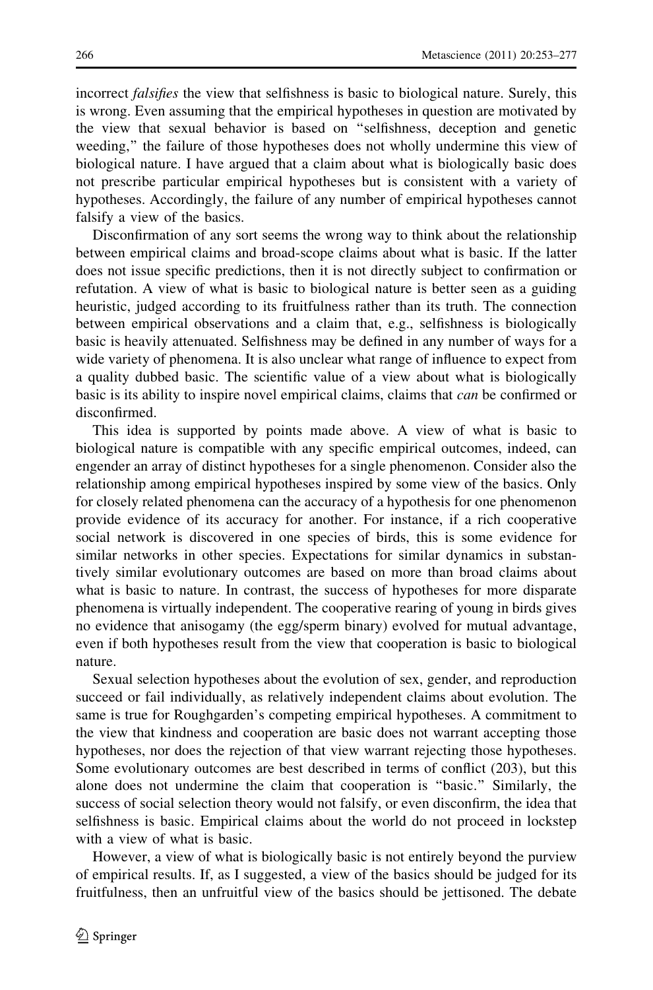incorrect *falsifies* the view that selfishness is basic to biological nature. Surely, this is wrong. Even assuming that the empirical hypotheses in question are motivated by the view that sexual behavior is based on ''selfishness, deception and genetic weeding,'' the failure of those hypotheses does not wholly undermine this view of biological nature. I have argued that a claim about what is biologically basic does not prescribe particular empirical hypotheses but is consistent with a variety of hypotheses. Accordingly, the failure of any number of empirical hypotheses cannot falsify a view of the basics.

Disconfirmation of any sort seems the wrong way to think about the relationship between empirical claims and broad-scope claims about what is basic. If the latter does not issue specific predictions, then it is not directly subject to confirmation or refutation. A view of what is basic to biological nature is better seen as a guiding heuristic, judged according to its fruitfulness rather than its truth. The connection between empirical observations and a claim that, e.g., selfishness is biologically basic is heavily attenuated. Selfishness may be defined in any number of ways for a wide variety of phenomena. It is also unclear what range of influence to expect from a quality dubbed basic. The scientific value of a view about what is biologically basic is its ability to inspire novel empirical claims, claims that can be confirmed or disconfirmed.

This idea is supported by points made above. A view of what is basic to biological nature is compatible with any specific empirical outcomes, indeed, can engender an array of distinct hypotheses for a single phenomenon. Consider also the relationship among empirical hypotheses inspired by some view of the basics. Only for closely related phenomena can the accuracy of a hypothesis for one phenomenon provide evidence of its accuracy for another. For instance, if a rich cooperative social network is discovered in one species of birds, this is some evidence for similar networks in other species. Expectations for similar dynamics in substantively similar evolutionary outcomes are based on more than broad claims about what is basic to nature. In contrast, the success of hypotheses for more disparate phenomena is virtually independent. The cooperative rearing of young in birds gives no evidence that anisogamy (the egg/sperm binary) evolved for mutual advantage, even if both hypotheses result from the view that cooperation is basic to biological nature.

Sexual selection hypotheses about the evolution of sex, gender, and reproduction succeed or fail individually, as relatively independent claims about evolution. The same is true for Roughgarden's competing empirical hypotheses. A commitment to the view that kindness and cooperation are basic does not warrant accepting those hypotheses, nor does the rejection of that view warrant rejecting those hypotheses. Some evolutionary outcomes are best described in terms of conflict (203), but this alone does not undermine the claim that cooperation is ''basic.'' Similarly, the success of social selection theory would not falsify, or even disconfirm, the idea that selfishness is basic. Empirical claims about the world do not proceed in lockstep with a view of what is basic.

However, a view of what is biologically basic is not entirely beyond the purview of empirical results. If, as I suggested, a view of the basics should be judged for its fruitfulness, then an unfruitful view of the basics should be jettisoned. The debate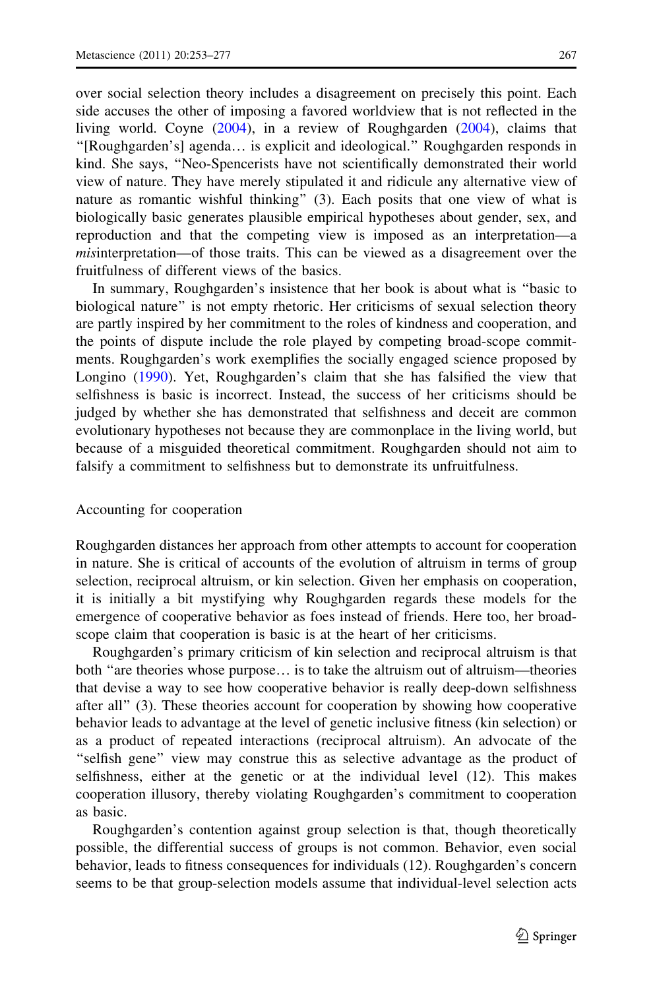over social selection theory includes a disagreement on precisely this point. Each side accuses the other of imposing a favored worldview that is not reflected in the living world. Coyne [\(2004](#page-23-0)), in a review of Roughgarden [\(2004](#page-24-0)), claims that ''[Roughgarden's] agenda… is explicit and ideological.'' Roughgarden responds in kind. She says, ''Neo-Spencerists have not scientifically demonstrated their world view of nature. They have merely stipulated it and ridicule any alternative view of nature as romantic wishful thinking'' (3). Each posits that one view of what is biologically basic generates plausible empirical hypotheses about gender, sex, and reproduction and that the competing view is imposed as an interpretation—a misinterpretation—of those traits. This can be viewed as a disagreement over the fruitfulness of different views of the basics.

In summary, Roughgarden's insistence that her book is about what is ''basic to biological nature'' is not empty rhetoric. Her criticisms of sexual selection theory are partly inspired by her commitment to the roles of kindness and cooperation, and the points of dispute include the role played by competing broad-scope commitments. Roughgarden's work exemplifies the socially engaged science proposed by Longino [\(1990](#page-24-0)). Yet, Roughgarden's claim that she has falsified the view that selfishness is basic is incorrect. Instead, the success of her criticisms should be judged by whether she has demonstrated that selfishness and deceit are common evolutionary hypotheses not because they are commonplace in the living world, but because of a misguided theoretical commitment. Roughgarden should not aim to falsify a commitment to selfishness but to demonstrate its unfruitfulness.

# Accounting for cooperation

Roughgarden distances her approach from other attempts to account for cooperation in nature. She is critical of accounts of the evolution of altruism in terms of group selection, reciprocal altruism, or kin selection. Given her emphasis on cooperation, it is initially a bit mystifying why Roughgarden regards these models for the emergence of cooperative behavior as foes instead of friends. Here too, her broadscope claim that cooperation is basic is at the heart of her criticisms.

Roughgarden's primary criticism of kin selection and reciprocal altruism is that both ''are theories whose purpose… is to take the altruism out of altruism—theories that devise a way to see how cooperative behavior is really deep-down selfishness after all'' (3). These theories account for cooperation by showing how cooperative behavior leads to advantage at the level of genetic inclusive fitness (kin selection) or as a product of repeated interactions (reciprocal altruism). An advocate of the ''selfish gene'' view may construe this as selective advantage as the product of selfishness, either at the genetic or at the individual level (12). This makes cooperation illusory, thereby violating Roughgarden's commitment to cooperation as basic.

Roughgarden's contention against group selection is that, though theoretically possible, the differential success of groups is not common. Behavior, even social behavior, leads to fitness consequences for individuals (12). Roughgarden's concern seems to be that group-selection models assume that individual-level selection acts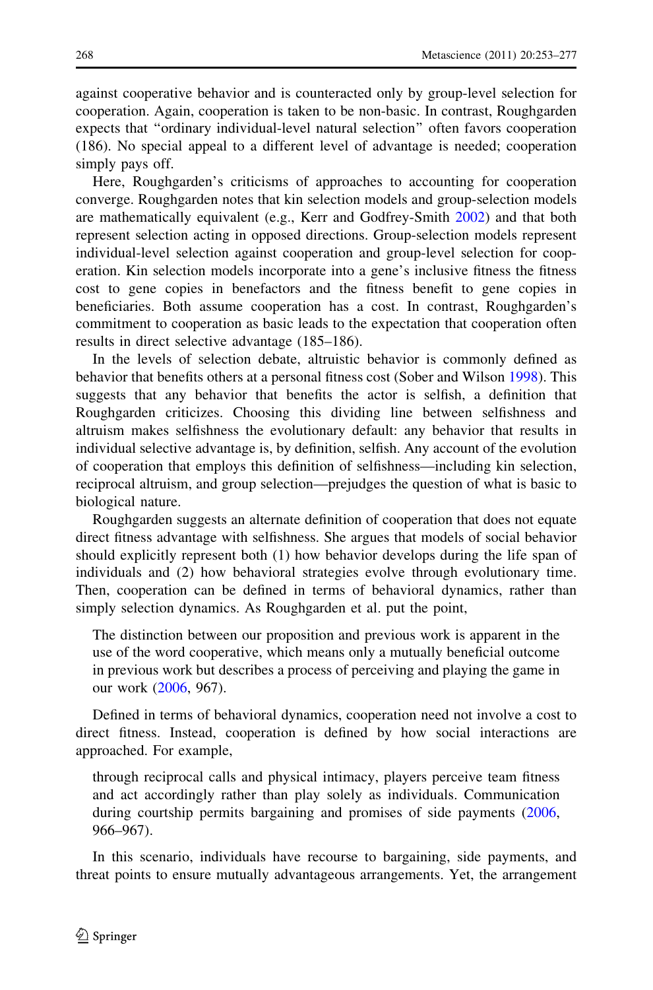against cooperative behavior and is counteracted only by group-level selection for cooperation. Again, cooperation is taken to be non-basic. In contrast, Roughgarden expects that ''ordinary individual-level natural selection'' often favors cooperation (186). No special appeal to a different level of advantage is needed; cooperation simply pays off.

Here, Roughgarden's criticisms of approaches to accounting for cooperation converge. Roughgarden notes that kin selection models and group-selection models are mathematically equivalent (e.g., Kerr and Godfrey-Smith [2002\)](#page-23-0) and that both represent selection acting in opposed directions. Group-selection models represent individual-level selection against cooperation and group-level selection for cooperation. Kin selection models incorporate into a gene's inclusive fitness the fitness cost to gene copies in benefactors and the fitness benefit to gene copies in beneficiaries. Both assume cooperation has a cost. In contrast, Roughgarden's commitment to cooperation as basic leads to the expectation that cooperation often results in direct selective advantage (185–186).

In the levels of selection debate, altruistic behavior is commonly defined as behavior that benefits others at a personal fitness cost (Sober and Wilson [1998](#page-24-0)). This suggests that any behavior that benefits the actor is selfish, a definition that Roughgarden criticizes. Choosing this dividing line between selfishness and altruism makes selfishness the evolutionary default: any behavior that results in individual selective advantage is, by definition, selfish. Any account of the evolution of cooperation that employs this definition of selfishness—including kin selection, reciprocal altruism, and group selection—prejudges the question of what is basic to biological nature.

Roughgarden suggests an alternate definition of cooperation that does not equate direct fitness advantage with selfishness. She argues that models of social behavior should explicitly represent both (1) how behavior develops during the life span of individuals and (2) how behavioral strategies evolve through evolutionary time. Then, cooperation can be defined in terms of behavioral dynamics, rather than simply selection dynamics. As Roughgarden et al. put the point,

The distinction between our proposition and previous work is apparent in the use of the word cooperative, which means only a mutually beneficial outcome in previous work but describes a process of perceiving and playing the game in our work [\(2006](#page-24-0), 967).

Defined in terms of behavioral dynamics, cooperation need not involve a cost to direct fitness. Instead, cooperation is defined by how social interactions are approached. For example,

through reciprocal calls and physical intimacy, players perceive team fitness and act accordingly rather than play solely as individuals. Communication during courtship permits bargaining and promises of side payments ([2006,](#page-24-0) 966–967).

In this scenario, individuals have recourse to bargaining, side payments, and threat points to ensure mutually advantageous arrangements. Yet, the arrangement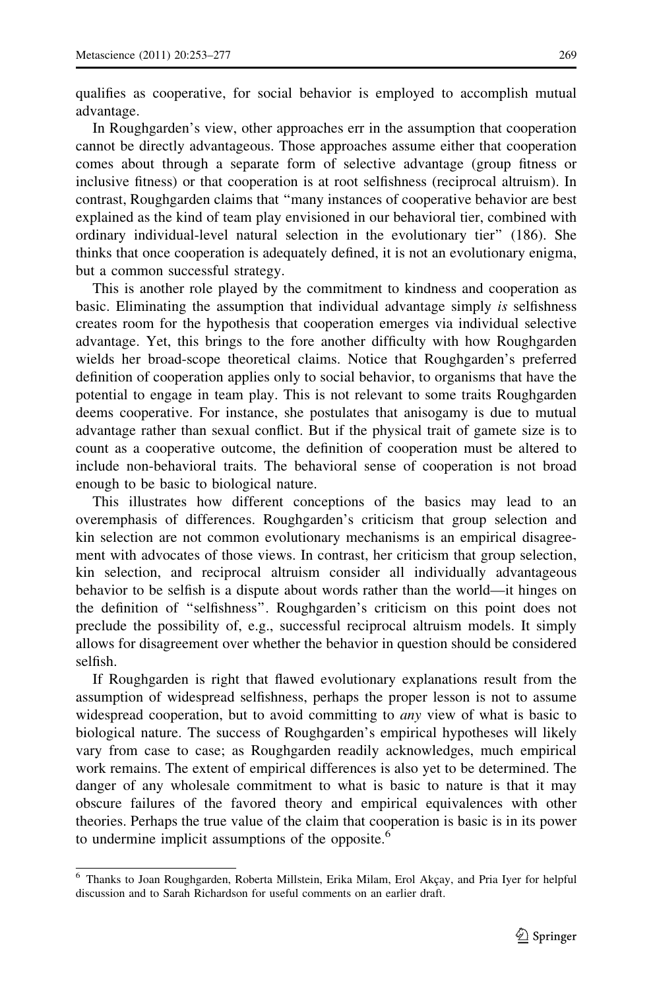qualifies as cooperative, for social behavior is employed to accomplish mutual advantage.

In Roughgarden's view, other approaches err in the assumption that cooperation cannot be directly advantageous. Those approaches assume either that cooperation comes about through a separate form of selective advantage (group fitness or inclusive fitness) or that cooperation is at root selfishness (reciprocal altruism). In contrast, Roughgarden claims that ''many instances of cooperative behavior are best explained as the kind of team play envisioned in our behavioral tier, combined with ordinary individual-level natural selection in the evolutionary tier'' (186). She thinks that once cooperation is adequately defined, it is not an evolutionary enigma, but a common successful strategy.

This is another role played by the commitment to kindness and cooperation as basic. Eliminating the assumption that individual advantage simply is selfishness creates room for the hypothesis that cooperation emerges via individual selective advantage. Yet, this brings to the fore another difficulty with how Roughgarden wields her broad-scope theoretical claims. Notice that Roughgarden's preferred definition of cooperation applies only to social behavior, to organisms that have the potential to engage in team play. This is not relevant to some traits Roughgarden deems cooperative. For instance, she postulates that anisogamy is due to mutual advantage rather than sexual conflict. But if the physical trait of gamete size is to count as a cooperative outcome, the definition of cooperation must be altered to include non-behavioral traits. The behavioral sense of cooperation is not broad enough to be basic to biological nature.

This illustrates how different conceptions of the basics may lead to an overemphasis of differences. Roughgarden's criticism that group selection and kin selection are not common evolutionary mechanisms is an empirical disagreement with advocates of those views. In contrast, her criticism that group selection, kin selection, and reciprocal altruism consider all individually advantageous behavior to be selfish is a dispute about words rather than the world—it hinges on the definition of ''selfishness''. Roughgarden's criticism on this point does not preclude the possibility of, e.g., successful reciprocal altruism models. It simply allows for disagreement over whether the behavior in question should be considered selfish.

If Roughgarden is right that flawed evolutionary explanations result from the assumption of widespread selfishness, perhaps the proper lesson is not to assume widespread cooperation, but to avoid committing to *any* view of what is basic to biological nature. The success of Roughgarden's empirical hypotheses will likely vary from case to case; as Roughgarden readily acknowledges, much empirical work remains. The extent of empirical differences is also yet to be determined. The danger of any wholesale commitment to what is basic to nature is that it may obscure failures of the favored theory and empirical equivalences with other theories. Perhaps the true value of the claim that cooperation is basic is in its power to undermine implicit assumptions of the opposite.<sup>6</sup>

 $6$  Thanks to Joan Roughgarden, Roberta Millstein, Erika Milam, Erol Akçay, and Pria Iyer for helpful discussion and to Sarah Richardson for useful comments on an earlier draft.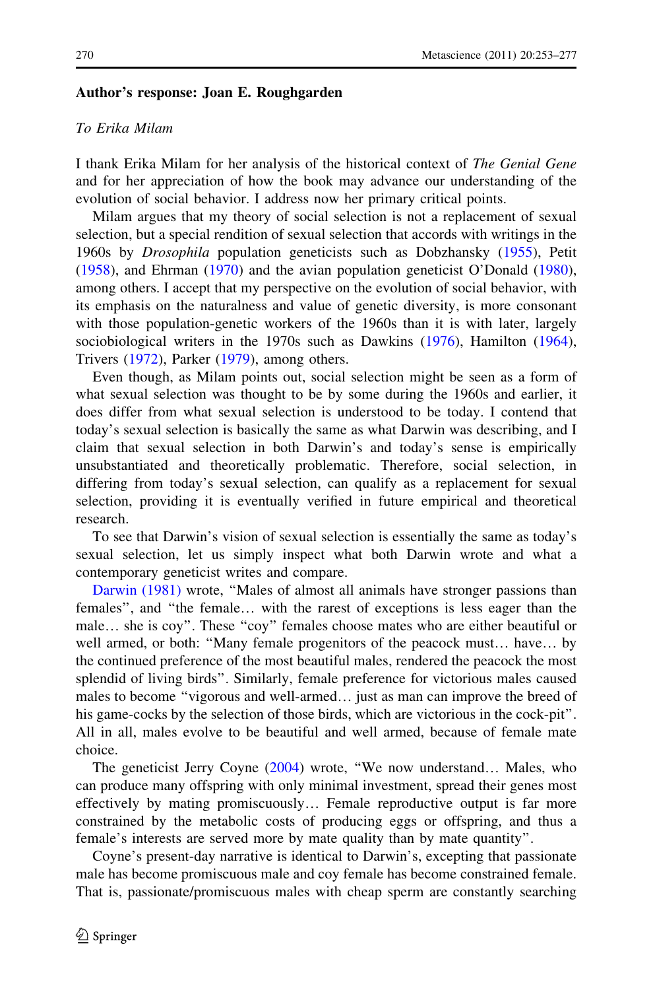#### Author's response: Joan E. Roughgarden

## To Erika Milam

I thank Erika Milam for her analysis of the historical context of The Genial Gene and for her appreciation of how the book may advance our understanding of the evolution of social behavior. I address now her primary critical points.

Milam argues that my theory of social selection is not a replacement of sexual selection, but a special rendition of sexual selection that accords with writings in the 1960s by Drosophila population geneticists such as Dobzhansky ([1955\)](#page-23-0), Petit [\(1958](#page-24-0)), and Ehrman ([1970\)](#page-23-0) and the avian population geneticist O'Donald ([1980\)](#page-24-0), among others. I accept that my perspective on the evolution of social behavior, with its emphasis on the naturalness and value of genetic diversity, is more consonant with those population-genetic workers of the 1960s than it is with later, largely sociobiological writers in the 1970s such as Dawkins [\(1976](#page-23-0)), Hamilton ([1964\)](#page-23-0), Trivers ([1972\)](#page-24-0), Parker [\(1979](#page-24-0)), among others.

Even though, as Milam points out, social selection might be seen as a form of what sexual selection was thought to be by some during the 1960s and earlier, it does differ from what sexual selection is understood to be today. I contend that today's sexual selection is basically the same as what Darwin was describing, and I claim that sexual selection in both Darwin's and today's sense is empirically unsubstantiated and theoretically problematic. Therefore, social selection, in differing from today's sexual selection, can qualify as a replacement for sexual selection, providing it is eventually verified in future empirical and theoretical research.

To see that Darwin's vision of sexual selection is essentially the same as today's sexual selection, let us simply inspect what both Darwin wrote and what a contemporary geneticist writes and compare.

[Darwin \(1981\)](#page-23-0) wrote, ''Males of almost all animals have stronger passions than females'', and ''the female… with the rarest of exceptions is less eager than the male… she is coy''. These ''coy'' females choose mates who are either beautiful or well armed, or both: ''Many female progenitors of the peacock must… have… by the continued preference of the most beautiful males, rendered the peacock the most splendid of living birds''. Similarly, female preference for victorious males caused males to become "vigorous and well-armed... just as man can improve the breed of his game-cocks by the selection of those birds, which are victorious in the cock-pit''. All in all, males evolve to be beautiful and well armed, because of female mate choice.

The geneticist Jerry Coyne ([2004\)](#page-23-0) wrote, ''We now understand… Males, who can produce many offspring with only minimal investment, spread their genes most effectively by mating promiscuously… Female reproductive output is far more constrained by the metabolic costs of producing eggs or offspring, and thus a female's interests are served more by mate quality than by mate quantity''.

Coyne's present-day narrative is identical to Darwin's, excepting that passionate male has become promiscuous male and coy female has become constrained female. That is, passionate/promiscuous males with cheap sperm are constantly searching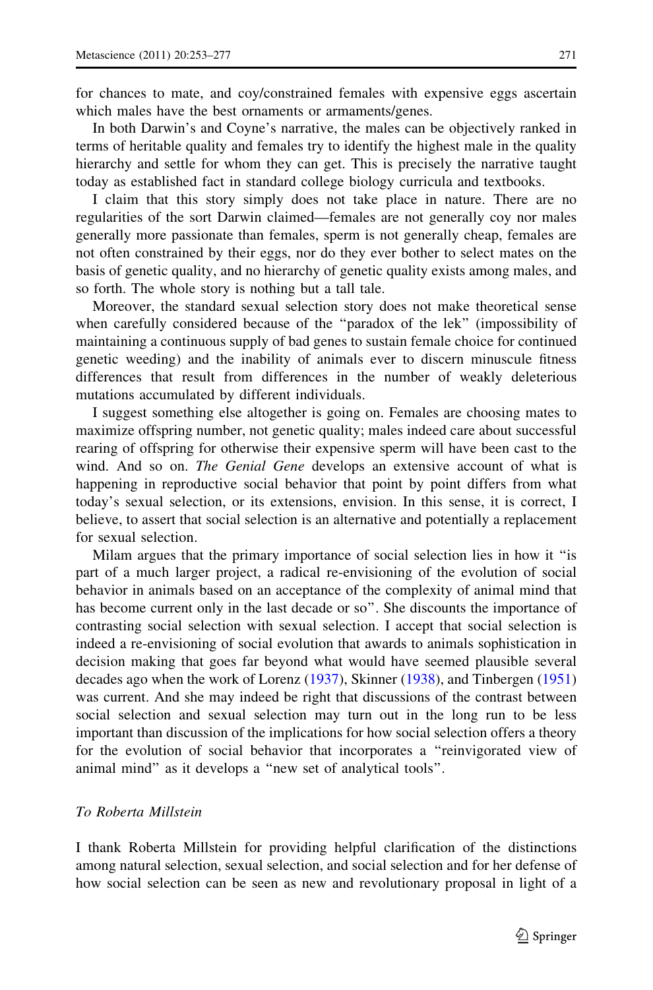for chances to mate, and coy/constrained females with expensive eggs ascertain which males have the best ornaments or armaments/genes.

In both Darwin's and Coyne's narrative, the males can be objectively ranked in terms of heritable quality and females try to identify the highest male in the quality hierarchy and settle for whom they can get. This is precisely the narrative taught today as established fact in standard college biology curricula and textbooks.

I claim that this story simply does not take place in nature. There are no regularities of the sort Darwin claimed—females are not generally coy nor males generally more passionate than females, sperm is not generally cheap, females are not often constrained by their eggs, nor do they ever bother to select mates on the basis of genetic quality, and no hierarchy of genetic quality exists among males, and so forth. The whole story is nothing but a tall tale.

Moreover, the standard sexual selection story does not make theoretical sense when carefully considered because of the "paradox of the lek" (impossibility of maintaining a continuous supply of bad genes to sustain female choice for continued genetic weeding) and the inability of animals ever to discern minuscule fitness differences that result from differences in the number of weakly deleterious mutations accumulated by different individuals.

I suggest something else altogether is going on. Females are choosing mates to maximize offspring number, not genetic quality; males indeed care about successful rearing of offspring for otherwise their expensive sperm will have been cast to the wind. And so on. The Genial Gene develops an extensive account of what is happening in reproductive social behavior that point by point differs from what today's sexual selection, or its extensions, envision. In this sense, it is correct, I believe, to assert that social selection is an alternative and potentially a replacement for sexual selection.

Milam argues that the primary importance of social selection lies in how it ''is part of a much larger project, a radical re-envisioning of the evolution of social behavior in animals based on an acceptance of the complexity of animal mind that has become current only in the last decade or so''. She discounts the importance of contrasting social selection with sexual selection. I accept that social selection is indeed a re-envisioning of social evolution that awards to animals sophistication in decision making that goes far beyond what would have seemed plausible several decades ago when the work of Lorenz [\(1937](#page-24-0)), Skinner [\(1938](#page-24-0)), and Tinbergen [\(1951](#page-24-0)) was current. And she may indeed be right that discussions of the contrast between social selection and sexual selection may turn out in the long run to be less important than discussion of the implications for how social selection offers a theory for the evolution of social behavior that incorporates a ''reinvigorated view of animal mind'' as it develops a ''new set of analytical tools''.

# To Roberta Millstein

I thank Roberta Millstein for providing helpful clarification of the distinctions among natural selection, sexual selection, and social selection and for her defense of how social selection can be seen as new and revolutionary proposal in light of a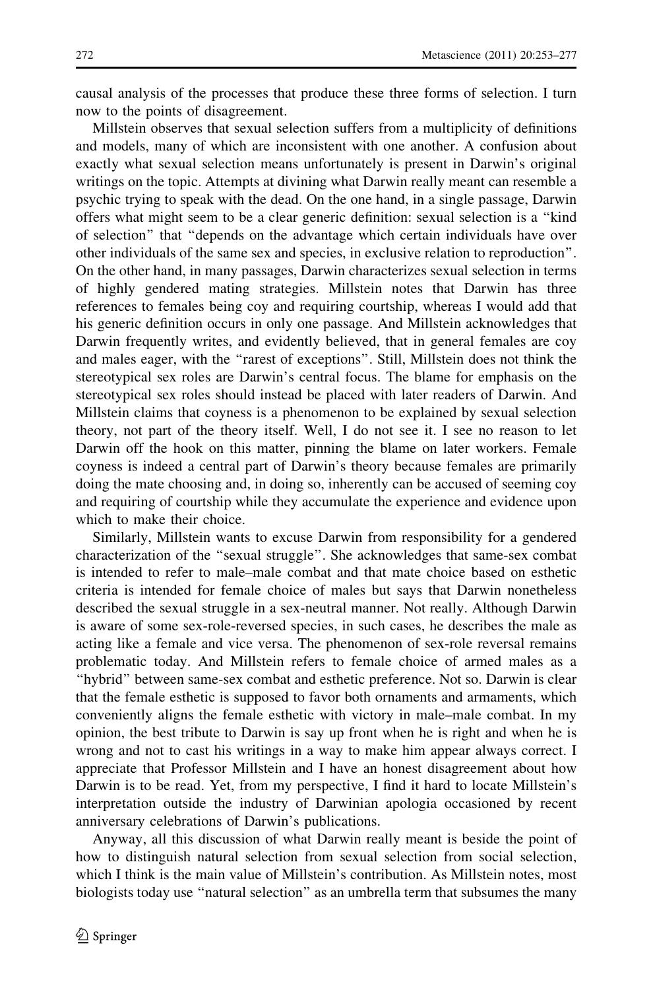causal analysis of the processes that produce these three forms of selection. I turn now to the points of disagreement.

Millstein observes that sexual selection suffers from a multiplicity of definitions and models, many of which are inconsistent with one another. A confusion about exactly what sexual selection means unfortunately is present in Darwin's original writings on the topic. Attempts at divining what Darwin really meant can resemble a psychic trying to speak with the dead. On the one hand, in a single passage, Darwin offers what might seem to be a clear generic definition: sexual selection is a ''kind of selection'' that ''depends on the advantage which certain individuals have over other individuals of the same sex and species, in exclusive relation to reproduction''. On the other hand, in many passages, Darwin characterizes sexual selection in terms of highly gendered mating strategies. Millstein notes that Darwin has three references to females being coy and requiring courtship, whereas I would add that his generic definition occurs in only one passage. And Millstein acknowledges that Darwin frequently writes, and evidently believed, that in general females are coy and males eager, with the ''rarest of exceptions''. Still, Millstein does not think the stereotypical sex roles are Darwin's central focus. The blame for emphasis on the stereotypical sex roles should instead be placed with later readers of Darwin. And Millstein claims that coyness is a phenomenon to be explained by sexual selection theory, not part of the theory itself. Well, I do not see it. I see no reason to let Darwin off the hook on this matter, pinning the blame on later workers. Female coyness is indeed a central part of Darwin's theory because females are primarily doing the mate choosing and, in doing so, inherently can be accused of seeming coy and requiring of courtship while they accumulate the experience and evidence upon which to make their choice.

Similarly, Millstein wants to excuse Darwin from responsibility for a gendered characterization of the ''sexual struggle''. She acknowledges that same-sex combat is intended to refer to male–male combat and that mate choice based on esthetic criteria is intended for female choice of males but says that Darwin nonetheless described the sexual struggle in a sex-neutral manner. Not really. Although Darwin is aware of some sex-role-reversed species, in such cases, he describes the male as acting like a female and vice versa. The phenomenon of sex-role reversal remains problematic today. And Millstein refers to female choice of armed males as a ''hybrid'' between same-sex combat and esthetic preference. Not so. Darwin is clear that the female esthetic is supposed to favor both ornaments and armaments, which conveniently aligns the female esthetic with victory in male–male combat. In my opinion, the best tribute to Darwin is say up front when he is right and when he is wrong and not to cast his writings in a way to make him appear always correct. I appreciate that Professor Millstein and I have an honest disagreement about how Darwin is to be read. Yet, from my perspective, I find it hard to locate Millstein's interpretation outside the industry of Darwinian apologia occasioned by recent anniversary celebrations of Darwin's publications.

Anyway, all this discussion of what Darwin really meant is beside the point of how to distinguish natural selection from sexual selection from social selection, which I think is the main value of Millstein's contribution. As Millstein notes, most biologists today use ''natural selection'' as an umbrella term that subsumes the many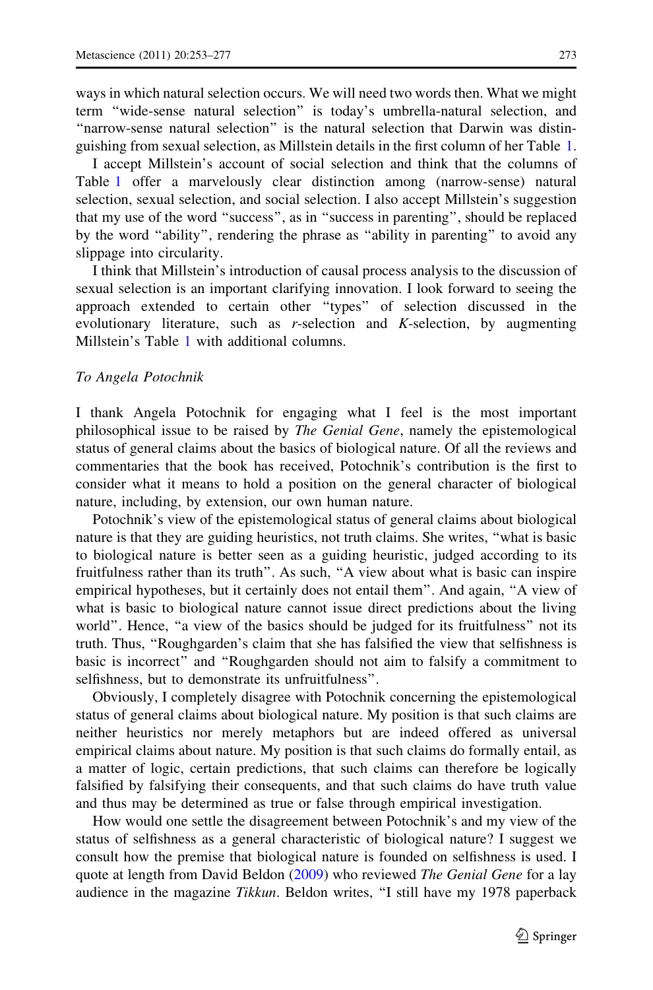ways in which natural selection occurs. We will need two words then. What we might term ''wide-sense natural selection'' is today's umbrella-natural selection, and ''narrow-sense natural selection'' is the natural selection that Darwin was distinguishing from sexual selection, as Millstein details in the first column of her Table [1.](#page-9-0)

I accept Millstein's account of social selection and think that the columns of Table [1](#page-9-0) offer a marvelously clear distinction among (narrow-sense) natural selection, sexual selection, and social selection. I also accept Millstein's suggestion that my use of the word ''success'', as in ''success in parenting'', should be replaced by the word ''ability'', rendering the phrase as ''ability in parenting'' to avoid any slippage into circularity.

I think that Millstein's introduction of causal process analysis to the discussion of sexual selection is an important clarifying innovation. I look forward to seeing the approach extended to certain other ''types'' of selection discussed in the evolutionary literature, such as r-selection and K-selection, by augmenting Millstein's Table [1](#page-9-0) with additional columns.

## To Angela Potochnik

I thank Angela Potochnik for engaging what I feel is the most important philosophical issue to be raised by The Genial Gene, namely the epistemological status of general claims about the basics of biological nature. Of all the reviews and commentaries that the book has received, Potochnik's contribution is the first to consider what it means to hold a position on the general character of biological nature, including, by extension, our own human nature.

Potochnik's view of the epistemological status of general claims about biological nature is that they are guiding heuristics, not truth claims. She writes, ''what is basic to biological nature is better seen as a guiding heuristic, judged according to its fruitfulness rather than its truth''. As such, ''A view about what is basic can inspire empirical hypotheses, but it certainly does not entail them''. And again, ''A view of what is basic to biological nature cannot issue direct predictions about the living world''. Hence, ''a view of the basics should be judged for its fruitfulness'' not its truth. Thus, ''Roughgarden's claim that she has falsified the view that selfishness is basic is incorrect'' and ''Roughgarden should not aim to falsify a commitment to selfishness, but to demonstrate its unfruitfulness''.

Obviously, I completely disagree with Potochnik concerning the epistemological status of general claims about biological nature. My position is that such claims are neither heuristics nor merely metaphors but are indeed offered as universal empirical claims about nature. My position is that such claims do formally entail, as a matter of logic, certain predictions, that such claims can therefore be logically falsified by falsifying their consequents, and that such claims do have truth value and thus may be determined as true or false through empirical investigation.

How would one settle the disagreement between Potochnik's and my view of the status of selfishness as a general characteristic of biological nature? I suggest we consult how the premise that biological nature is founded on selfishness is used. I quote at length from David Beldon ([2009\)](#page-23-0) who reviewed *The Genial Gene* for a lay audience in the magazine *Tikkun*. Beldon writes, "I still have my 1978 paperback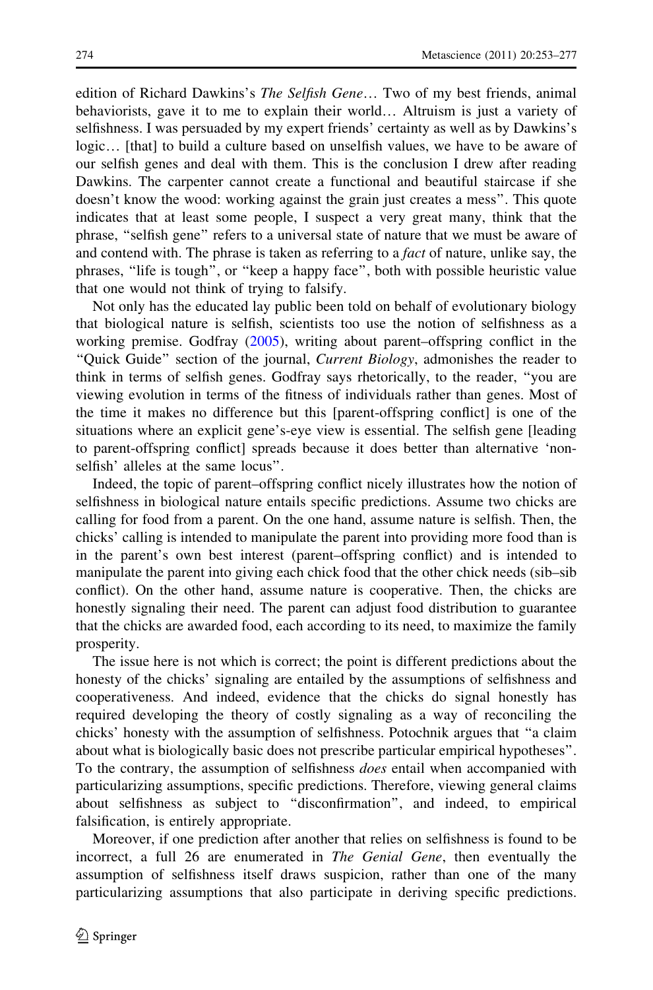edition of Richard Dawkins's *The Selfish Gene...* Two of my best friends, animal behaviorists, gave it to me to explain their world… Altruism is just a variety of selfishness. I was persuaded by my expert friends' certainty as well as by Dawkins's logic… [that] to build a culture based on unselfish values, we have to be aware of our selfish genes and deal with them. This is the conclusion I drew after reading Dawkins. The carpenter cannot create a functional and beautiful staircase if she doesn't know the wood: working against the grain just creates a mess''. This quote indicates that at least some people, I suspect a very great many, think that the phrase, ''selfish gene'' refers to a universal state of nature that we must be aware of and contend with. The phrase is taken as referring to a *fact* of nature, unlike say, the phrases, ''life is tough'', or ''keep a happy face'', both with possible heuristic value that one would not think of trying to falsify.

Not only has the educated lay public been told on behalf of evolutionary biology that biological nature is selfish, scientists too use the notion of selfishness as a working premise. Godfray [\(2005](#page-23-0)), writing about parent–offspring conflict in the "Quick Guide" section of the journal, Current Biology, admonishes the reader to think in terms of selfish genes. Godfray says rhetorically, to the reader, ''you are viewing evolution in terms of the fitness of individuals rather than genes. Most of the time it makes no difference but this [parent-offspring conflict] is one of the situations where an explicit gene's-eye view is essential. The selfish gene [leading to parent-offspring conflict] spreads because it does better than alternative 'nonselfish' alleles at the same locus''.

Indeed, the topic of parent–offspring conflict nicely illustrates how the notion of selfishness in biological nature entails specific predictions. Assume two chicks are calling for food from a parent. On the one hand, assume nature is selfish. Then, the chicks' calling is intended to manipulate the parent into providing more food than is in the parent's own best interest (parent–offspring conflict) and is intended to manipulate the parent into giving each chick food that the other chick needs (sib–sib conflict). On the other hand, assume nature is cooperative. Then, the chicks are honestly signaling their need. The parent can adjust food distribution to guarantee that the chicks are awarded food, each according to its need, to maximize the family prosperity.

The issue here is not which is correct; the point is different predictions about the honesty of the chicks' signaling are entailed by the assumptions of selfishness and cooperativeness. And indeed, evidence that the chicks do signal honestly has required developing the theory of costly signaling as a way of reconciling the chicks' honesty with the assumption of selfishness. Potochnik argues that ''a claim about what is biologically basic does not prescribe particular empirical hypotheses''. To the contrary, the assumption of selfishness *does* entail when accompanied with particularizing assumptions, specific predictions. Therefore, viewing general claims about selfishness as subject to ''disconfirmation'', and indeed, to empirical falsification, is entirely appropriate.

Moreover, if one prediction after another that relies on selfishness is found to be incorrect, a full 26 are enumerated in *The Genial Gene*, then eventually the assumption of selfishness itself draws suspicion, rather than one of the many particularizing assumptions that also participate in deriving specific predictions.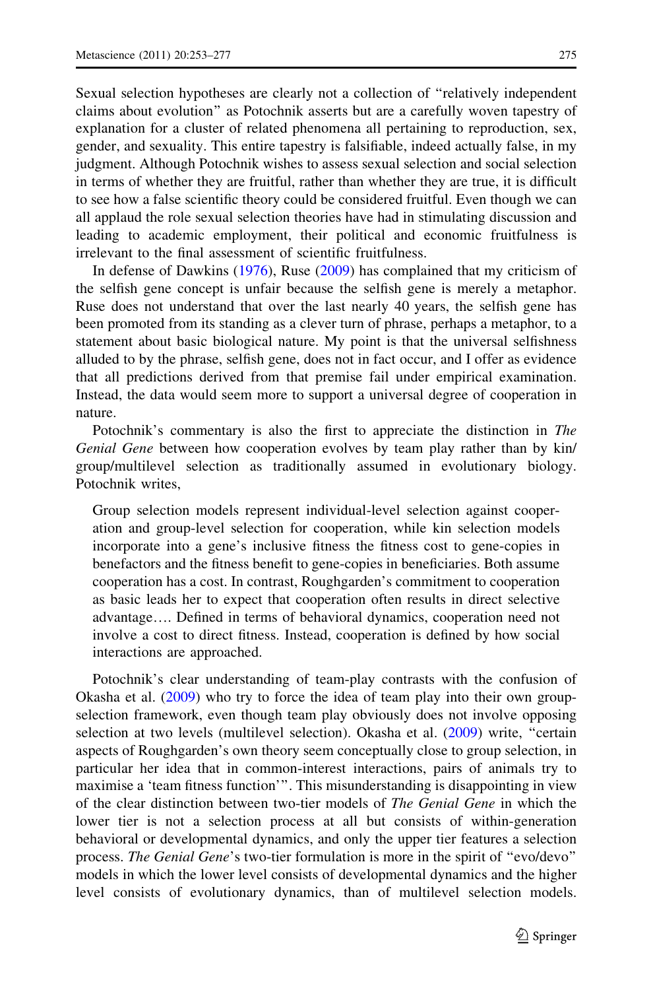Sexual selection hypotheses are clearly not a collection of ''relatively independent claims about evolution'' as Potochnik asserts but are a carefully woven tapestry of explanation for a cluster of related phenomena all pertaining to reproduction, sex, gender, and sexuality. This entire tapestry is falsifiable, indeed actually false, in my judgment. Although Potochnik wishes to assess sexual selection and social selection in terms of whether they are fruitful, rather than whether they are true, it is difficult to see how a false scientific theory could be considered fruitful. Even though we can all applaud the role sexual selection theories have had in stimulating discussion and leading to academic employment, their political and economic fruitfulness is irrelevant to the final assessment of scientific fruitfulness.

In defense of Dawkins [\(1976](#page-23-0)), Ruse ([2009\)](#page-24-0) has complained that my criticism of the selfish gene concept is unfair because the selfish gene is merely a metaphor. Ruse does not understand that over the last nearly 40 years, the selfish gene has been promoted from its standing as a clever turn of phrase, perhaps a metaphor, to a statement about basic biological nature. My point is that the universal selfishness alluded to by the phrase, selfish gene, does not in fact occur, and I offer as evidence that all predictions derived from that premise fail under empirical examination. Instead, the data would seem more to support a universal degree of cooperation in nature.

Potochnik's commentary is also the first to appreciate the distinction in The Genial Gene between how cooperation evolves by team play rather than by kin/ group/multilevel selection as traditionally assumed in evolutionary biology. Potochnik writes,

Group selection models represent individual-level selection against cooperation and group-level selection for cooperation, while kin selection models incorporate into a gene's inclusive fitness the fitness cost to gene-copies in benefactors and the fitness benefit to gene-copies in beneficiaries. Both assume cooperation has a cost. In contrast, Roughgarden's commitment to cooperation as basic leads her to expect that cooperation often results in direct selective advantage…. Defined in terms of behavioral dynamics, cooperation need not involve a cost to direct fitness. Instead, cooperation is defined by how social interactions are approached.

Potochnik's clear understanding of team-play contrasts with the confusion of Okasha et al. ([2009\)](#page-24-0) who try to force the idea of team play into their own groupselection framework, even though team play obviously does not involve opposing selection at two levels (multilevel selection). Okasha et al. ([2009\)](#page-24-0) write, ''certain aspects of Roughgarden's own theory seem conceptually close to group selection, in particular her idea that in common-interest interactions, pairs of animals try to maximise a 'team fitness function'''. This misunderstanding is disappointing in view of the clear distinction between two-tier models of The Genial Gene in which the lower tier is not a selection process at all but consists of within-generation behavioral or developmental dynamics, and only the upper tier features a selection process. The Genial Gene's two-tier formulation is more in the spirit of ''evo/devo'' models in which the lower level consists of developmental dynamics and the higher level consists of evolutionary dynamics, than of multilevel selection models.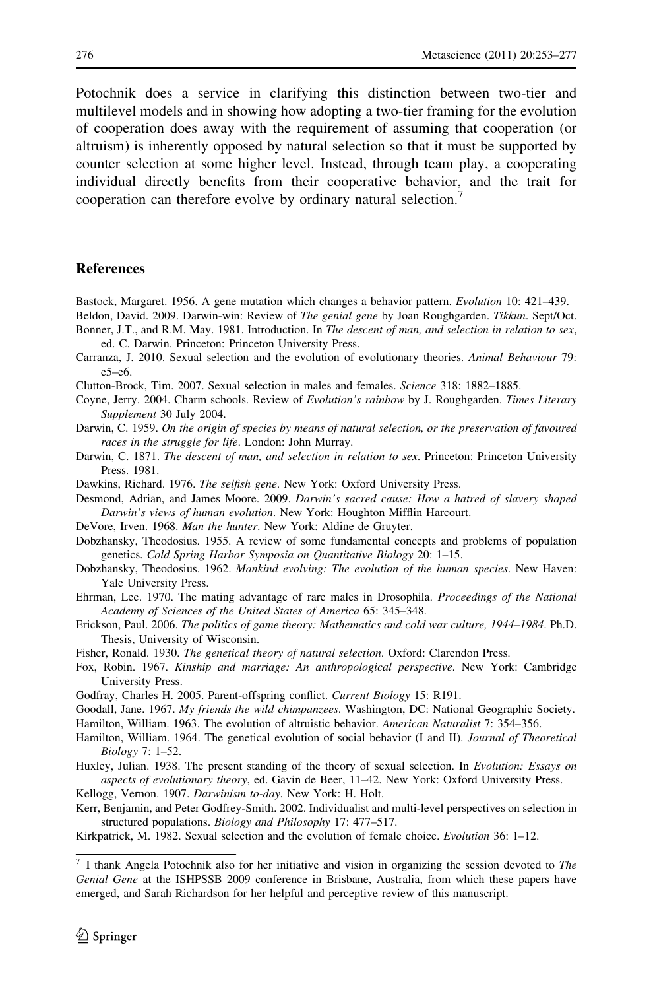Potochnik does a service in clarifying this distinction between two-tier and multilevel models and in showing how adopting a two-tier framing for the evolution of cooperation does away with the requirement of assuming that cooperation (or altruism) is inherently opposed by natural selection so that it must be supported by counter selection at some higher level. Instead, through team play, a cooperating individual directly benefits from their cooperative behavior, and the trait for cooperation can therefore evolve by ordinary natural selection.<sup>7</sup>

#### References

- Bastock, Margaret. 1956. A gene mutation which changes a behavior pattern. Evolution 10: 421–439.
- Beldon, David. 2009. Darwin-win: Review of *The genial gene* by Joan Roughgarden. Tikkun. Sept/Oct. Bonner, J.T., and R.M. May. 1981. Introduction. In The descent of man, and selection in relation to sex,

ed. C. Darwin. Princeton: Princeton University Press.

- Carranza, J. 2010. Sexual selection and the evolution of evolutionary theories. Animal Behaviour 79: e5–e6.
- Clutton-Brock, Tim. 2007. Sexual selection in males and females. Science 318: 1882–1885.
- Coyne, Jerry. 2004. Charm schools. Review of Evolution's rainbow by J. Roughgarden. Times Literary Supplement 30 July 2004.

Darwin, C. 1959. On the origin of species by means of natural selection, or the preservation of favoured races in the struggle for life. London: John Murray.

- Darwin, C. 1871. The descent of man, and selection in relation to sex. Princeton: Princeton University Press. 1981.
- Dawkins, Richard. 1976. The selfish gene. New York: Oxford University Press.
- Desmond, Adrian, and James Moore. 2009. Darwin's sacred cause: How a hatred of slavery shaped Darwin's views of human evolution. New York: Houghton Mifflin Harcourt.
- DeVore, Irven. 1968. Man the hunter. New York: Aldine de Gruyter.
- Dobzhansky, Theodosius. 1955. A review of some fundamental concepts and problems of population genetics. Cold Spring Harbor Symposia on Quantitative Biology 20: 1–15.
- Dobzhansky, Theodosius. 1962. Mankind evolving: The evolution of the human species. New Haven: Yale University Press.
- Ehrman, Lee. 1970. The mating advantage of rare males in Drosophila. Proceedings of the National Academy of Sciences of the United States of America 65: 345–348.
- Erickson, Paul. 2006. The politics of game theory: Mathematics and cold war culture, 1944–1984. Ph.D. Thesis, University of Wisconsin.
- Fisher, Ronald. 1930. The genetical theory of natural selection. Oxford: Clarendon Press.
- Fox, Robin. 1967. Kinship and marriage: An anthropological perspective. New York: Cambridge University Press.
- Godfray, Charles H. 2005. Parent-offspring conflict. Current Biology 15: R191.
- Goodall, Jane. 1967. My friends the wild chimpanzees. Washington, DC: National Geographic Society.
- Hamilton, William. 1963. The evolution of altruistic behavior. American Naturalist 7: 354–356.
- Hamilton, William. 1964. The genetical evolution of social behavior (I and II). Journal of Theoretical Biology 7: 1–52.
- Huxley, Julian. 1938. The present standing of the theory of sexual selection. In Evolution: Essays on aspects of evolutionary theory, ed. Gavin de Beer, 11–42. New York: Oxford University Press.
- Kellogg, Vernon. 1907. Darwinism to-day. New York: H. Holt.
- Kerr, Benjamin, and Peter Godfrey-Smith. 2002. Individualist and multi-level perspectives on selection in structured populations. Biology and Philosophy 17: 477–517.

Kirkpatrick, M. 1982. Sexual selection and the evolution of female choice. Evolution 36: 1-12.

<span id="page-23-0"></span><sup>7</sup> I thank Angela Potochnik also for her initiative and vision in organizing the session devoted to The Genial Gene at the ISHPSSB 2009 conference in Brisbane, Australia, from which these papers have emerged, and Sarah Richardson for her helpful and perceptive review of this manuscript.